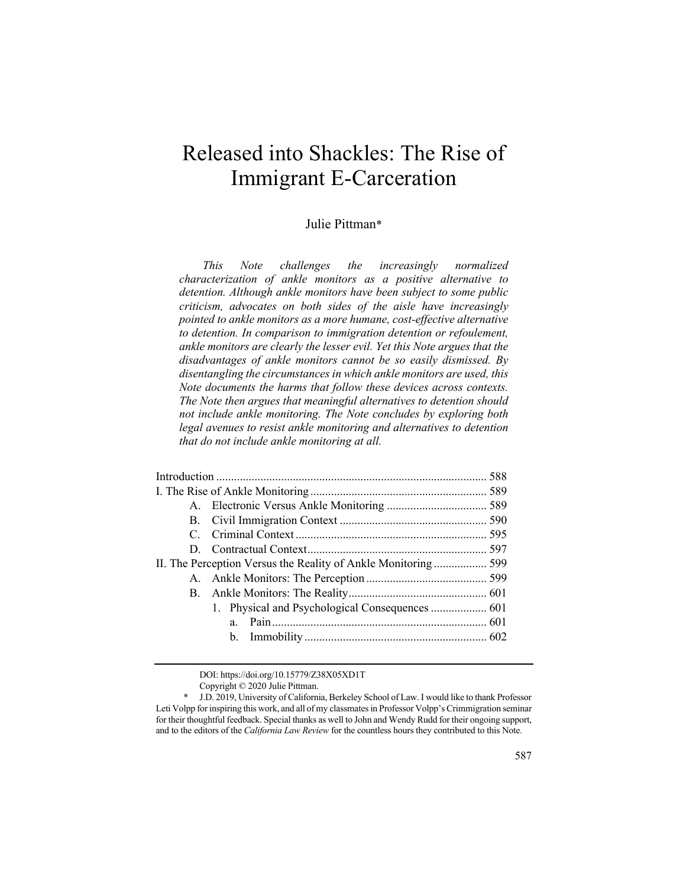# Released into Shackles: The Rise of Immigrant E-Carceration

# Julie Pittman\*

*This Note challenges the increasingly normalized characterization of ankle monitors as a positive alternative to detention. Although ankle monitors have been subject to some public criticism, advocates on both sides of the aisle have increasingly pointed to ankle monitors as a more humane, cost-effective alternative to detention. In comparison to immigration detention or refoulement, ankle monitors are clearly the lesser evil. Yet this Note argues that the disadvantages of ankle monitors cannot be so easily dismissed. By disentangling the circumstances in which ankle monitors are used, this Note documents the harms that follow these devices across contexts. The Note then argues that meaningful alternatives to detention should not include ankle monitoring. The Note concludes by exploring both legal avenues to resist ankle monitoring and alternatives to detention that do not include ankle monitoring at all.*

|  | II. The Perception Versus the Reality of Ankle Monitoring 599 |  |  |  |  |
|--|---------------------------------------------------------------|--|--|--|--|
|  |                                                               |  |  |  |  |
|  |                                                               |  |  |  |  |
|  |                                                               |  |  |  |  |
|  | $a_{-}$                                                       |  |  |  |  |
|  |                                                               |  |  |  |  |
|  |                                                               |  |  |  |  |

DOI: https://doi.org/10.15779/Z38X05XD1T

Copyright © 2020 Julie Pittman.

J.D. 2019, University of California, Berkeley School of Law. I would like to thank Professor Leti Volpp for inspiring this work, and all of my classmates in Professor Volpp's Crimmigration seminar for their thoughtful feedback. Special thanks as well to John and Wendy Rudd for their ongoing support, and to the editors of the *California Law Review* for the countless hours they contributed to this Note.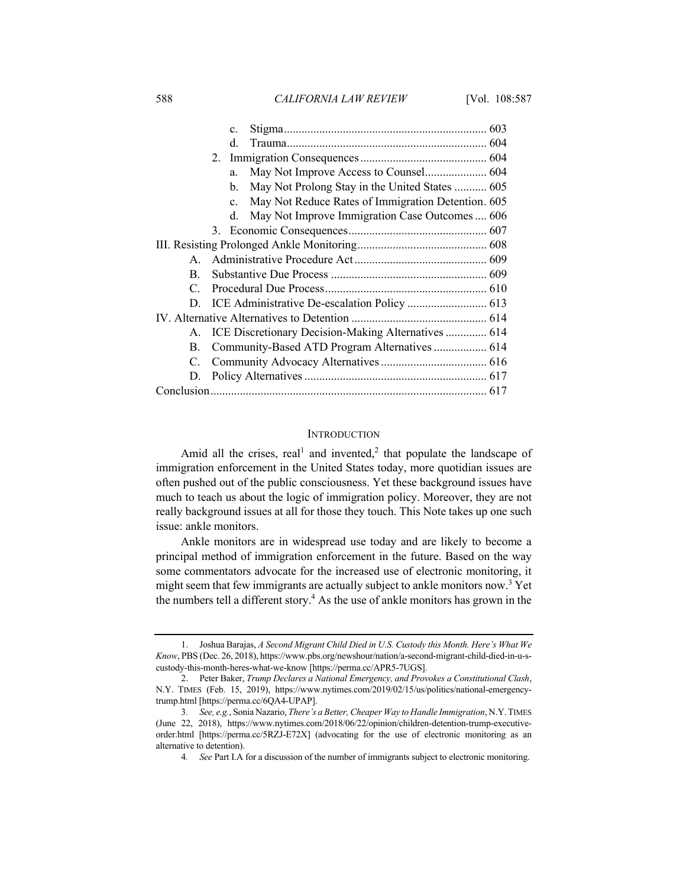588 *CALIFORNIA LAW REVIEW* [Vol. 108:587

|                |                                               | $c_{\cdot}$    |                                                        |  |  |
|----------------|-----------------------------------------------|----------------|--------------------------------------------------------|--|--|
|                |                                               | d.             |                                                        |  |  |
|                |                                               |                |                                                        |  |  |
|                |                                               | a.             | May Not Improve Access to Counsel 604                  |  |  |
|                |                                               | $\mathbf{b}$ . | May Not Prolong Stay in the United States  605         |  |  |
|                |                                               | $\mathbf{c}$ . | May Not Reduce Rates of Immigration Detention. 605     |  |  |
|                |                                               | d.             | May Not Improve Immigration Case Outcomes  606         |  |  |
|                |                                               |                |                                                        |  |  |
|                |                                               |                |                                                        |  |  |
| $A_{\cdot}$    |                                               |                |                                                        |  |  |
| B.             |                                               |                |                                                        |  |  |
| $C_{\cdot}$    |                                               |                |                                                        |  |  |
|                |                                               |                |                                                        |  |  |
|                |                                               |                |                                                        |  |  |
|                |                                               |                | A. ICE Discretionary Decision-Making Alternatives  614 |  |  |
| $\mathbf{B}$ . | Community-Based ATD Program Alternatives  614 |                |                                                        |  |  |
| C.             |                                               |                |                                                        |  |  |
|                |                                               |                |                                                        |  |  |
|                |                                               |                |                                                        |  |  |
|                |                                               |                |                                                        |  |  |

#### **INTRODUCTION**

Amid all the crises, real<sup>1</sup> and invented,<sup>2</sup> that populate the landscape of immigration enforcement in the United States today, more quotidian issues are often pushed out of the public consciousness. Yet these background issues have much to teach us about the logic of immigration policy. Moreover, they are not really background issues at all for those they touch. This Note takes up one such issue: ankle monitors.

Ankle monitors are in widespread use today and are likely to become a principal method of immigration enforcement in the future. Based on the way some commentators advocate for the increased use of electronic monitoring, it might seem that few immigrants are actually subject to ankle monitors now.<sup>3</sup> Yet the numbers tell a different story.<sup>4</sup> As the use of ankle monitors has grown in the

<sup>1.</sup> Joshua Barajas, *A Second Migrant Child Died in U.S. Custody this Month. Here's What We Know*, PBS (Dec. 26, 2018), https://www.pbs.org/newshour/nation/a-second-migrant-child-died-in-u-scustody-this-month-heres-what-we-know [https://perma.cc/APR5-7UGS].

<sup>2.</sup> Peter Baker, *Trump Declares a National Emergency, and Provokes a Constitutional Clash*, N.Y. TIMES (Feb. 15, 2019), https://www.nytimes.com/2019/02/15/us/politics/national-emergencytrump.html [https://perma.cc/6QA4-UPAP].

<sup>3</sup>*. See, e.g.*, Sonia Nazario, *There's a Better, Cheaper Way to Handle Immigration*, N.Y.TIMES (June 22, 2018), https://www.nytimes.com/2018/06/22/opinion/children-detention-trump-executiveorder.html [https://perma.cc/5RZJ-E72X] (advocating for the use of electronic monitoring as an alternative to detention).

<sup>4</sup>*. See* Part I.A for a discussion of the number of immigrants subject to electronic monitoring.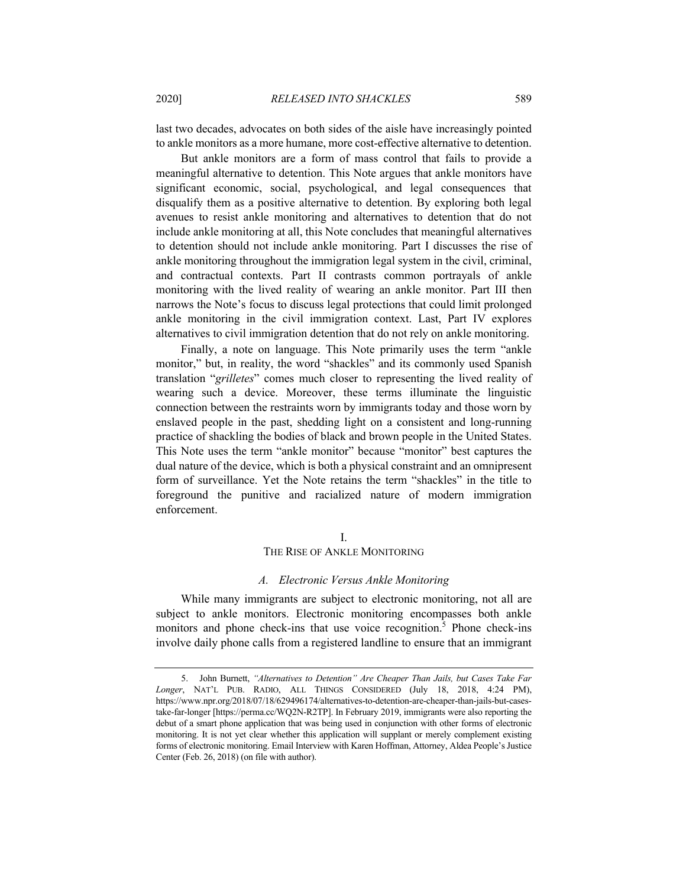last two decades, advocates on both sides of the aisle have increasingly pointed to ankle monitors as a more humane, more cost-effective alternative to detention.

But ankle monitors are a form of mass control that fails to provide a meaningful alternative to detention. This Note argues that ankle monitors have significant economic, social, psychological, and legal consequences that disqualify them as a positive alternative to detention. By exploring both legal avenues to resist ankle monitoring and alternatives to detention that do not include ankle monitoring at all, this Note concludes that meaningful alternatives to detention should not include ankle monitoring. Part I discusses the rise of ankle monitoring throughout the immigration legal system in the civil, criminal, and contractual contexts. Part II contrasts common portrayals of ankle monitoring with the lived reality of wearing an ankle monitor. Part III then narrows the Note's focus to discuss legal protections that could limit prolonged ankle monitoring in the civil immigration context. Last, Part IV explores alternatives to civil immigration detention that do not rely on ankle monitoring.

Finally, a note on language. This Note primarily uses the term "ankle monitor," but, in reality, the word "shackles" and its commonly used Spanish translation "*grilletes*" comes much closer to representing the lived reality of wearing such a device. Moreover, these terms illuminate the linguistic connection between the restraints worn by immigrants today and those worn by enslaved people in the past, shedding light on a consistent and long-running practice of shackling the bodies of black and brown people in the United States. This Note uses the term "ankle monitor" because "monitor" best captures the dual nature of the device, which is both a physical constraint and an omnipresent form of surveillance. Yet the Note retains the term "shackles" in the title to foreground the punitive and racialized nature of modern immigration enforcement.

## I.

#### THE RISE OF ANKLE MONITORING

## *A. Electronic Versus Ankle Monitoring*

While many immigrants are subject to electronic monitoring, not all are subject to ankle monitors. Electronic monitoring encompasses both ankle monitors and phone check-ins that use voice recognition.<sup>5</sup> Phone check-ins involve daily phone calls from a registered landline to ensure that an immigrant

<sup>5.</sup> John Burnett, *"Alternatives to Detention" Are Cheaper Than Jails, but Cases Take Far Longer*, NAT'L PUB. RADIO, ALL THINGS CONSIDERED (July 18, 2018, 4:24 PM), https://www.npr.org/2018/07/18/629496174/alternatives-to-detention-are-cheaper-than-jails-but-casestake-far-longer [https://perma.cc/WQ2N-R2TP]. In February 2019, immigrants were also reporting the debut of a smart phone application that was being used in conjunction with other forms of electronic monitoring. It is not yet clear whether this application will supplant or merely complement existing forms of electronic monitoring. Email Interview with Karen Hoffman, Attorney, Aldea People's Justice Center (Feb. 26, 2018) (on file with author).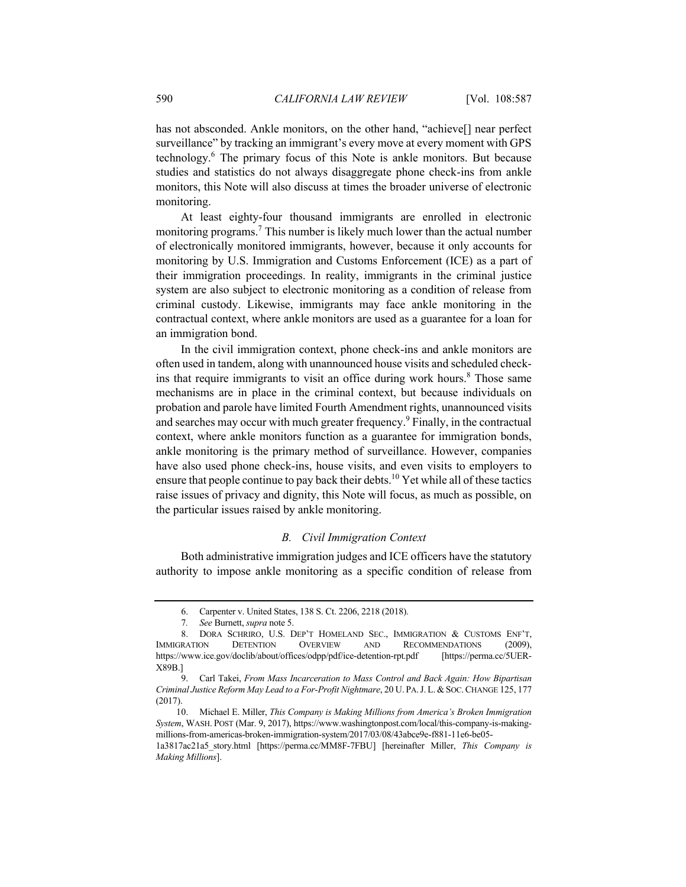has not absconded. Ankle monitors, on the other hand, "achieve[] near perfect surveillance" by tracking an immigrant's every move at every moment with GPS technology.6 The primary focus of this Note is ankle monitors. But because studies and statistics do not always disaggregate phone check-ins from ankle monitors, this Note will also discuss at times the broader universe of electronic monitoring.

At least eighty-four thousand immigrants are enrolled in electronic monitoring programs.<sup>7</sup> This number is likely much lower than the actual number of electronically monitored immigrants, however, because it only accounts for monitoring by U.S. Immigration and Customs Enforcement (ICE) as a part of their immigration proceedings. In reality, immigrants in the criminal justice system are also subject to electronic monitoring as a condition of release from criminal custody. Likewise, immigrants may face ankle monitoring in the contractual context, where ankle monitors are used as a guarantee for a loan for an immigration bond.

In the civil immigration context, phone check-ins and ankle monitors are often used in tandem, along with unannounced house visits and scheduled checkins that require immigrants to visit an office during work hours.<sup>8</sup> Those same mechanisms are in place in the criminal context, but because individuals on probation and parole have limited Fourth Amendment rights, unannounced visits and searches may occur with much greater frequency.<sup>9</sup> Finally, in the contractual context, where ankle monitors function as a guarantee for immigration bonds, ankle monitoring is the primary method of surveillance. However, companies have also used phone check-ins, house visits, and even visits to employers to ensure that people continue to pay back their debts.<sup>10</sup> Yet while all of these tactics raise issues of privacy and dignity, this Note will focus, as much as possible, on the particular issues raised by ankle monitoring.

## *B. Civil Immigration Context*

Both administrative immigration judges and ICE officers have the statutory authority to impose ankle monitoring as a specific condition of release from

<sup>6.</sup> Carpenter v. United States, 138 S. Ct. 2206, 2218 (2018).

<sup>7</sup>*. See* Burnett, *supra* note 5.

<sup>8.</sup> DORA SCHRIRO, U.S. DEP'T HOMELAND SEC., IMMIGRATION & CUSTOMS ENF'T, IMMIGRATION DETENTION OVERVIEW AND RECOMMENDATIONS (2009), https://www.ice.gov/doclib/about/offices/odpp/pdf/ice-detention-rpt.pdf [https://perma.cc/5UER-X89B.]

<sup>9.</sup> Carl Takei, *From Mass Incarceration to Mass Control and Back Again: How Bipartisan Criminal Justice Reform May Lead to a For-Profit Nightmare*, 20 U. PA.J.L.& SOC.CHANGE 125, 177 (2017).

<sup>10.</sup> Michael E. Miller, *This Company is Making Millions from America's Broken Immigration System*, WASH. POST (Mar. 9, 2017), https://www.washingtonpost.com/local/this-company-is-makingmillions-from-americas-broken-immigration-system/2017/03/08/43abce9e-f881-11e6-be05-

<sup>1</sup>a3817ac21a5\_story.html [https://perma.cc/MM8F-7FBU] [hereinafter Miller, *This Company is Making Millions*].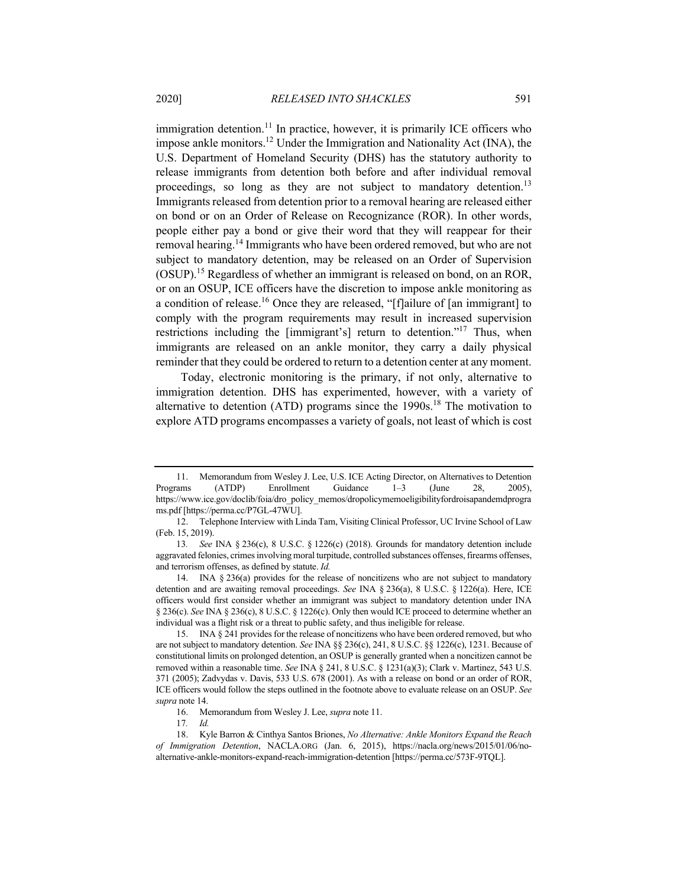immigration detention.<sup>11</sup> In practice, however, it is primarily ICE officers who impose ankle monitors.12 Under the Immigration and Nationality Act (INA), the U.S. Department of Homeland Security (DHS) has the statutory authority to release immigrants from detention both before and after individual removal proceedings, so long as they are not subject to mandatory detention.<sup>13</sup> Immigrants released from detention prior to a removal hearing are released either on bond or on an Order of Release on Recognizance (ROR). In other words, people either pay a bond or give their word that they will reappear for their removal hearing.<sup>14</sup> Immigrants who have been ordered removed, but who are not subject to mandatory detention, may be released on an Order of Supervision (OSUP).15 Regardless of whether an immigrant is released on bond, on an ROR, or on an OSUP, ICE officers have the discretion to impose ankle monitoring as a condition of release.<sup>16</sup> Once they are released, "[f]ailure of [an immigrant] to comply with the program requirements may result in increased supervision restrictions including the [immigrant's] return to detention."<sup>17</sup> Thus, when immigrants are released on an ankle monitor, they carry a daily physical

Today, electronic monitoring is the primary, if not only, alternative to immigration detention. DHS has experimented, however, with a variety of alternative to detention (ATD) programs since the  $1990s$ .<sup>18</sup> The motivation to explore ATD programs encompasses a variety of goals, not least of which is cost

reminder that they could be ordered to return to a detention center at any moment.

<sup>11.</sup> Memorandum from Wesley J. Lee, U.S. ICE Acting Director, on Alternatives to Detention Programs (ATDP) Enrollment Guidance 1–3 (June 28, 2005), https://www.ice.gov/doclib/foia/dro\_policy\_memos/dropolicymemoeligibilityfordroisapandemdprogra ms.pdf [https://perma.cc/P7GL-47WU].

<sup>12.</sup> Telephone Interview with Linda Tam, Visiting Clinical Professor, UC Irvine School of Law (Feb. 15, 2019).

<sup>13</sup>*. See* INA § 236(c), 8 U.S.C. § 1226(c) (2018). Grounds for mandatory detention include aggravated felonies, crimes involving moral turpitude, controlled substances offenses, firearms offenses, and terrorism offenses, as defined by statute. *Id.*

<sup>14.</sup> INA § 236(a) provides for the release of noncitizens who are not subject to mandatory detention and are awaiting removal proceedings. *See* INA § 236(a), 8 U.S.C. § 1226(a). Here, ICE officers would first consider whether an immigrant was subject to mandatory detention under INA § 236(c). *See* INA § 236(c), 8 U.S.C. § 1226(c). Only then would ICE proceed to determine whether an individual was a flight risk or a threat to public safety, and thus ineligible for release.

<sup>15.</sup> INA § 241 provides for the release of noncitizens who have been ordered removed, but who are not subject to mandatory detention. *See* INA §§ 236(c), 241, 8 U.S.C. §§ 1226(c), 1231. Because of constitutional limits on prolonged detention, an OSUP is generally granted when a noncitizen cannot be removed within a reasonable time. *See* INA § 241, 8 U.S.C. § 1231(a)(3); Clark v. Martinez, 543 U.S. 371 (2005); Zadvydas v. Davis, 533 U.S. 678 (2001). As with a release on bond or an order of ROR, ICE officers would follow the steps outlined in the footnote above to evaluate release on an OSUP. *See supra* note 14.

<sup>16.</sup> Memorandum from Wesley J. Lee, *supra* note 11.

<sup>17</sup>*. Id.*

<sup>18.</sup> Kyle Barron & Cinthya Santos Briones, *No Alternative: Ankle Monitors Expand the Reach of Immigration Detention*, NACLA.ORG (Jan. 6, 2015), https://nacla.org/news/2015/01/06/noalternative-ankle-monitors-expand-reach-immigration-detention [https://perma.cc/573F-9TQL].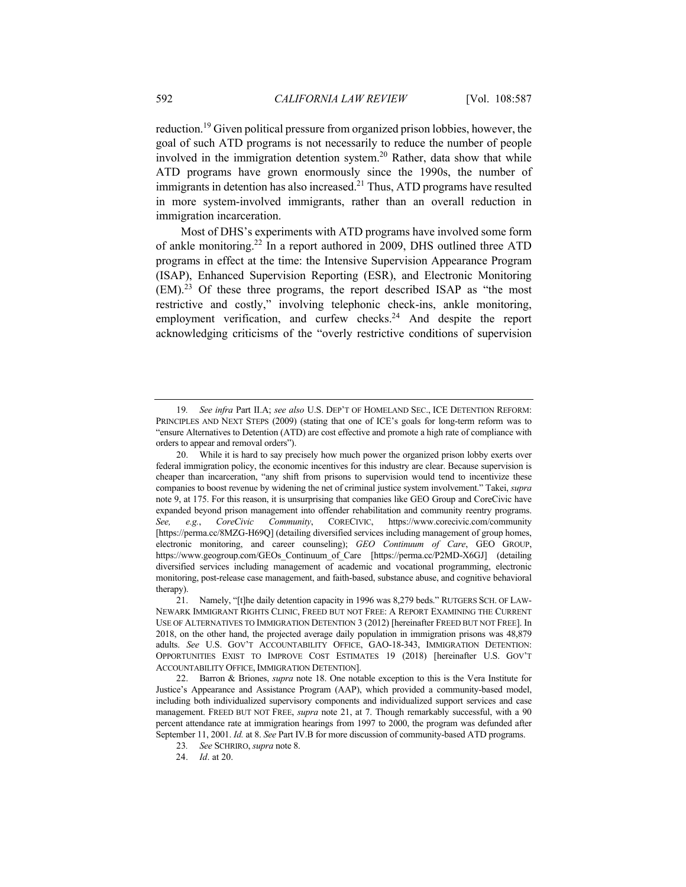reduction.19 Given political pressure from organized prison lobbies, however, the goal of such ATD programs is not necessarily to reduce the number of people involved in the immigration detention system.<sup>20</sup> Rather, data show that while ATD programs have grown enormously since the 1990s, the number of immigrants in detention has also increased.<sup>21</sup> Thus, ATD programs have resulted in more system-involved immigrants, rather than an overall reduction in immigration incarceration.

Most of DHS's experiments with ATD programs have involved some form of ankle monitoring.22 In a report authored in 2009, DHS outlined three ATD programs in effect at the time: the Intensive Supervision Appearance Program (ISAP), Enhanced Supervision Reporting (ESR), and Electronic Monitoring (EM).<sup>23</sup> Of these three programs, the report described ISAP as "the most restrictive and costly," involving telephonic check-ins, ankle monitoring, employment verification, and curfew checks.<sup>24</sup> And despite the report acknowledging criticisms of the "overly restrictive conditions of supervision

<sup>19</sup>*. See infra* Part II.A; *see also* U.S. DEP'T OF HOMELAND SEC., ICE DETENTION REFORM: PRINCIPLES AND NEXT STEPS (2009) (stating that one of ICE's goals for long-term reform was to "ensure Alternatives to Detention (ATD) are cost effective and promote a high rate of compliance with orders to appear and removal orders").

<sup>20.</sup> While it is hard to say precisely how much power the organized prison lobby exerts over federal immigration policy, the economic incentives for this industry are clear. Because supervision is cheaper than incarceration, "any shift from prisons to supervision would tend to incentivize these companies to boost revenue by widening the net of criminal justice system involvement." Takei, *supra*  note 9, at 175. For this reason, it is unsurprising that companies like GEO Group and CoreCivic have expanded beyond prison management into offender rehabilitation and community reentry programs. *See, e.g.*, *CoreCivic Community*, CORECIVIC, https://www.corecivic.com/community [https://perma.cc/8MZG-H69Q] (detailing diversified services including management of group homes, electronic monitoring, and career counseling); *GEO Continuum of Care*, GEO GROUP, https://www.geogroup.com/GEOs\_Continuum\_of\_Care [https://perma.cc/P2MD-X6GJ] (detailing diversified services including management of academic and vocational programming, electronic monitoring, post-release case management, and faith-based, substance abuse, and cognitive behavioral therapy).

<sup>21.</sup> Namely, "[t]he daily detention capacity in 1996 was 8,279 beds." RUTGERS SCH. OF LAW-NEWARK IMMIGRANT RIGHTS CLINIC, FREED BUT NOT FREE: A REPORT EXAMINING THE CURRENT USE OF ALTERNATIVES TO IMMIGRATION DETENTION 3 (2012) [hereinafter FREED BUT NOT FREE]. In 2018, on the other hand, the projected average daily population in immigration prisons was 48,879 adults. *See* U.S. GOV'T ACCOUNTABILITY OFFICE, GAO-18-343, IMMIGRATION DETENTION: OPPORTUNITIES EXIST TO IMPROVE COST ESTIMATES 19 (2018) [hereinafter U.S. GOV'T ACCOUNTABILITY OFFICE, IMMIGRATION DETENTION].

<sup>22.</sup> Barron & Briones, *supra* note 18. One notable exception to this is the Vera Institute for Justice's Appearance and Assistance Program (AAP), which provided a community-based model, including both individualized supervisory components and individualized support services and case management. FREED BUT NOT FREE, *supra* note 21, at 7. Though remarkably successful, with a 90 percent attendance rate at immigration hearings from 1997 to 2000, the program was defunded after September 11, 2001. *Id.* at 8. *See* Part IV.B for more discussion of community-based ATD programs.

<sup>23</sup>*. See* SCHRIRO, *supra* note 8.

24. *Id*. at 20.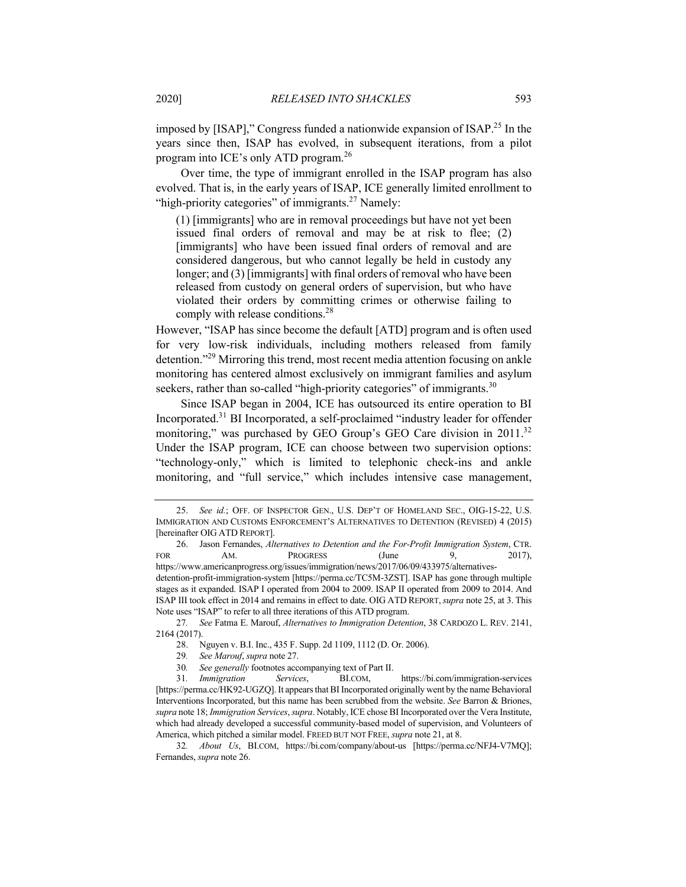imposed by [ISAP]," Congress funded a nationwide expansion of ISAP.25 In the years since then, ISAP has evolved, in subsequent iterations, from a pilot program into ICE's only ATD program.<sup>26</sup>

Over time, the type of immigrant enrolled in the ISAP program has also evolved. That is, in the early years of ISAP, ICE generally limited enrollment to "high-priority categories" of immigrants.<sup>27</sup> Namely:

(1) [immigrants] who are in removal proceedings but have not yet been issued final orders of removal and may be at risk to flee; (2) [immigrants] who have been issued final orders of removal and are considered dangerous, but who cannot legally be held in custody any longer; and (3) [immigrants] with final orders of removal who have been released from custody on general orders of supervision, but who have violated their orders by committing crimes or otherwise failing to comply with release conditions.28

However, "ISAP has since become the default [ATD] program and is often used for very low-risk individuals, including mothers released from family detention."29 Mirroring this trend, most recent media attention focusing on ankle monitoring has centered almost exclusively on immigrant families and asylum seekers, rather than so-called "high-priority categories" of immigrants.<sup>30</sup>

Since ISAP began in 2004, ICE has outsourced its entire operation to BI Incorporated.31 BI Incorporated, a self-proclaimed "industry leader for offender monitoring," was purchased by GEO Group's GEO Care division in 2011.<sup>32</sup> Under the ISAP program, ICE can choose between two supervision options: "technology-only," which is limited to telephonic check-ins and ankle monitoring, and "full service," which includes intensive case management,

27*. See* Fatma E. Marouf, *Alternatives to Immigration Detention*, 38 CARDOZO L. REV. 2141, 2164 (2017).

<sup>25.</sup> *See id.*; OFF. OF INSPECTOR GEN., U.S. DEP'T OF HOMELAND SEC., OIG-15-22, U.S. IMMIGRATION AND CUSTOMS ENFORCEMENT'S ALTERNATIVES TO DETENTION (REVISED) 4 (2015) [hereinafter OIG ATD REPORT].

<sup>26.</sup> Jason Fernandes, *Alternatives to Detention and the For-Profit Immigration System*, CTR. FOR AM. PROGRESS (June 9, 2017), https://www.americanprogress.org/issues/immigration/news/2017/06/09/433975/alternativesdetention-profit-immigration-system [https://perma.cc/TC5M-3ZST]. ISAP has gone through multiple stages as it expanded. ISAP I operated from 2004 to 2009. ISAP II operated from 2009 to 2014. And ISAP III took effect in 2014 and remains in effect to date. OIG ATD REPORT,*supra* note 25, at 3. This Note uses "ISAP" to refer to all three iterations of this ATD program.

<sup>28.</sup> Nguyen v. B.I. Inc., 435 F. Supp. 2d 1109, 1112 (D. Or. 2006).

<sup>29</sup>*. See Marouf*, *supra* note 27.

<sup>30</sup>*. See generally* footnotes accompanying text of Part II.

<sup>31</sup>*. Immigration Services*, BI.COM, https://bi.com/immigration-services [https://perma.cc/HK92-UGZQ]. It appears that BI Incorporated originally went by the name Behavioral Interventions Incorporated, but this name has been scrubbed from the website. *See* Barron & Briones, *supra* note 18; *Immigration Services*, *supra*. Notably, ICE chose BI Incorporated over the Vera Institute, which had already developed a successful community-based model of supervision, and Volunteers of America, which pitched a similar model. FREED BUT NOT FREE, *supra* note 21, at 8.

<sup>32</sup>*. About Us*, BI.COM, https://bi.com/company/about-us [https://perma.cc/NFJ4-V7MQ]; Fernandes, *supra* note 26.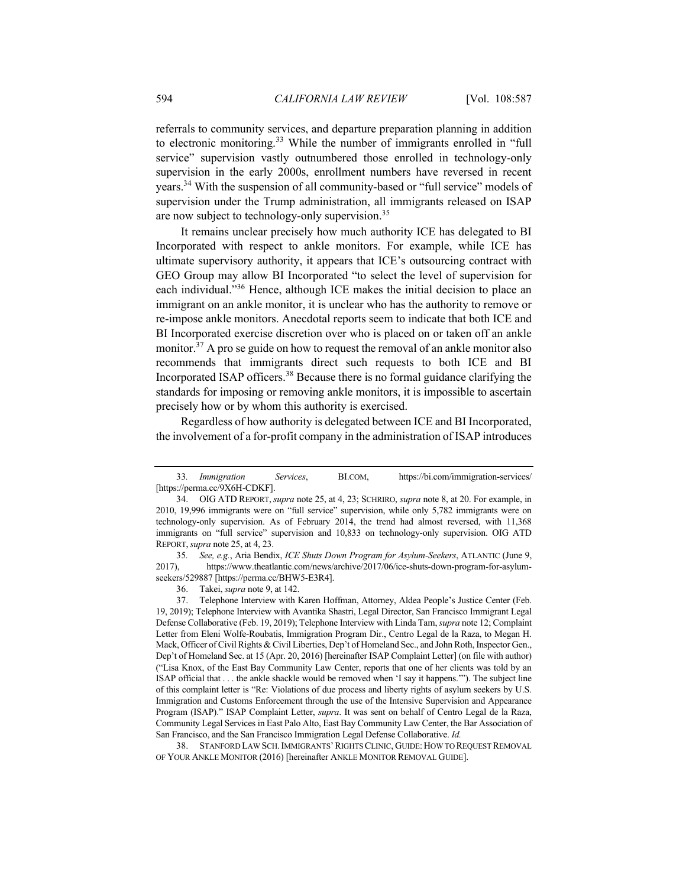referrals to community services, and departure preparation planning in addition to electronic monitoring.<sup>33</sup> While the number of immigrants enrolled in "full service" supervision vastly outnumbered those enrolled in technology-only supervision in the early 2000s, enrollment numbers have reversed in recent years.34 With the suspension of all community-based or "full service" models of supervision under the Trump administration, all immigrants released on ISAP are now subject to technology-only supervision.<sup>35</sup>

It remains unclear precisely how much authority ICE has delegated to BI Incorporated with respect to ankle monitors. For example, while ICE has ultimate supervisory authority, it appears that ICE's outsourcing contract with GEO Group may allow BI Incorporated "to select the level of supervision for each individual."<sup>36</sup> Hence, although ICE makes the initial decision to place an immigrant on an ankle monitor, it is unclear who has the authority to remove or re-impose ankle monitors. Anecdotal reports seem to indicate that both ICE and BI Incorporated exercise discretion over who is placed on or taken off an ankle monitor.<sup>37</sup> A pro se guide on how to request the removal of an ankle monitor also recommends that immigrants direct such requests to both ICE and BI Incorporated ISAP officers.<sup>38</sup> Because there is no formal guidance clarifying the standards for imposing or removing ankle monitors, it is impossible to ascertain precisely how or by whom this authority is exercised.

Regardless of how authority is delegated between ICE and BI Incorporated, the involvement of a for-profit company in the administration of ISAP introduces

38. STANFORD LAW SCH.IMMIGRANTS'RIGHTS CLINIC, GUIDE:HOW TO REQUEST REMOVAL OF YOUR ANKLE MONITOR (2016) [hereinafter ANKLE MONITOR REMOVAL GUIDE].

<sup>33</sup>*. Immigration Services*, BI.COM, https://bi.com/immigration-services/ [https://perma.cc/9X6H-CDKF].

<sup>34.</sup> OIG ATD REPORT, *supra* note 25, at 4, 23; SCHRIRO, *supra* note 8, at 20. For example, in 2010, 19,996 immigrants were on "full service" supervision, while only 5,782 immigrants were on technology-only supervision. As of February 2014, the trend had almost reversed, with 11,368 immigrants on "full service" supervision and 10,833 on technology-only supervision. OIG ATD REPORT,*supra* note 25, at 4, 23.

<sup>35</sup>*. See, e.g.*, Aria Bendix, *ICE Shuts Down Program for Asylum-Seekers*, ATLANTIC (June 9, 2017), https://www.theatlantic.com/news/archive/2017/06/ice-shuts-down-program-for-asylumseekers/529887 [https://perma.cc/BHW5-E3R4].

<sup>36.</sup> Takei, *supra* note 9, at 142.

<sup>37.</sup> Telephone Interview with Karen Hoffman, Attorney, Aldea People's Justice Center (Feb. 19, 2019); Telephone Interview with Avantika Shastri, Legal Director, San Francisco Immigrant Legal Defense Collaborative (Feb. 19, 2019); Telephone Interview with Linda Tam, *supra* note 12; Complaint Letter from Eleni Wolfe-Roubatis, Immigration Program Dir., Centro Legal de la Raza, to Megan H. Mack, Officer of Civil Rights & Civil Liberties, Dep't of Homeland Sec., and John Roth, Inspector Gen., Dep't of Homeland Sec. at 15 (Apr. 20, 2016) [hereinafter ISAP Complaint Letter] (on file with author) ("Lisa Knox, of the East Bay Community Law Center, reports that one of her clients was told by an ISAP official that . . . the ankle shackle would be removed when 'I say it happens.'"). The subject line of this complaint letter is "Re: Violations of due process and liberty rights of asylum seekers by U.S. Immigration and Customs Enforcement through the use of the Intensive Supervision and Appearance Program (ISAP)." ISAP Complaint Letter, *supra*. It was sent on behalf of Centro Legal de la Raza, Community Legal Services in East Palo Alto, East Bay Community Law Center, the Bar Association of San Francisco, and the San Francisco Immigration Legal Defense Collaborative. *Id.*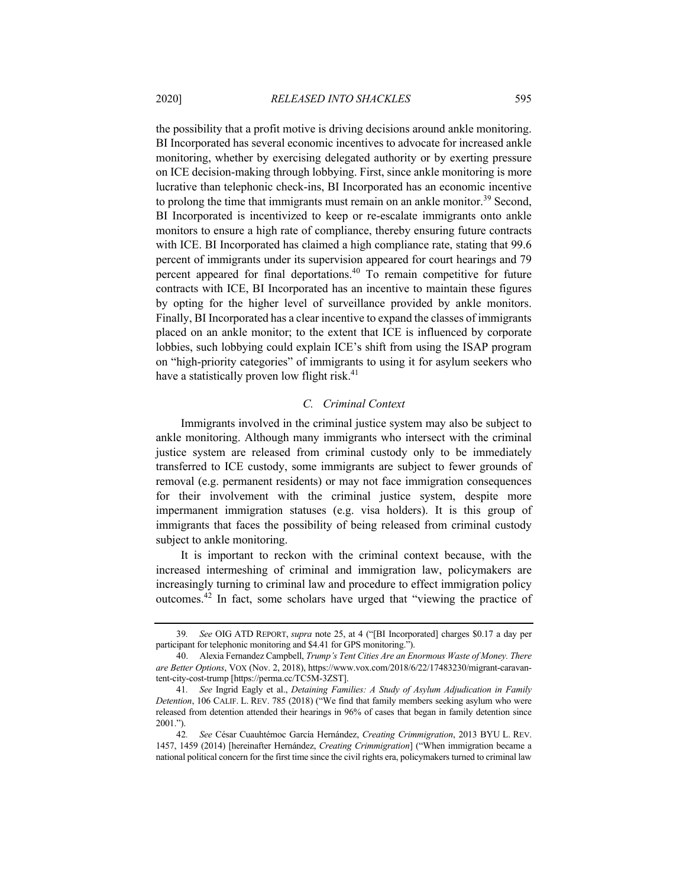the possibility that a profit motive is driving decisions around ankle monitoring. BI Incorporated has several economic incentives to advocate for increased ankle monitoring, whether by exercising delegated authority or by exerting pressure on ICE decision-making through lobbying. First, since ankle monitoring is more lucrative than telephonic check-ins, BI Incorporated has an economic incentive to prolong the time that immigrants must remain on an ankle monitor.<sup>39</sup> Second, BI Incorporated is incentivized to keep or re-escalate immigrants onto ankle monitors to ensure a high rate of compliance, thereby ensuring future contracts with ICE. BI Incorporated has claimed a high compliance rate, stating that 99.6 percent of immigrants under its supervision appeared for court hearings and 79 percent appeared for final deportations.<sup>40</sup> To remain competitive for future contracts with ICE, BI Incorporated has an incentive to maintain these figures by opting for the higher level of surveillance provided by ankle monitors. Finally, BI Incorporated has a clear incentive to expand the classes of immigrants placed on an ankle monitor; to the extent that ICE is influenced by corporate lobbies, such lobbying could explain ICE's shift from using the ISAP program on "high-priority categories" of immigrants to using it for asylum seekers who

#### *C. Criminal Context*

have a statistically proven low flight risk. $41$ 

Immigrants involved in the criminal justice system may also be subject to ankle monitoring. Although many immigrants who intersect with the criminal justice system are released from criminal custody only to be immediately transferred to ICE custody, some immigrants are subject to fewer grounds of removal (e.g. permanent residents) or may not face immigration consequences for their involvement with the criminal justice system, despite more impermanent immigration statuses (e.g. visa holders). It is this group of immigrants that faces the possibility of being released from criminal custody subject to ankle monitoring.

It is important to reckon with the criminal context because, with the increased intermeshing of criminal and immigration law, policymakers are increasingly turning to criminal law and procedure to effect immigration policy outcomes.<sup>42</sup> In fact, some scholars have urged that "viewing the practice of

<sup>39</sup>*. See* OIG ATD REPORT, *supra* note 25, at 4 ("[BI Incorporated] charges \$0.17 a day per participant for telephonic monitoring and \$4.41 for GPS monitoring.").

<sup>40.</sup> Alexia Fernandez Campbell, *Trump's Tent Cities Are an Enormous Waste of Money. There are Better Options*, VOX (Nov. 2, 2018), https://www.vox.com/2018/6/22/17483230/migrant-caravantent-city-cost-trump [https://perma.cc/TC5M-3ZST].

<sup>41</sup>*. See* Ingrid Eagly et al., *Detaining Families: A Study of Asylum Adjudication in Family Detention*, 106 CALIF. L. REV. 785 (2018) ("We find that family members seeking asylum who were released from detention attended their hearings in 96% of cases that began in family detention since 2001.").

<sup>42</sup>*. See* César Cuauhtémoc García Hernández, *Creating Crimmigration*, 2013 BYU L. REV. 1457, 1459 (2014) [hereinafter Hernández, *Creating Crimmigration*] ("When immigration became a national political concern for the first time since the civil rights era, policymakers turned to criminal law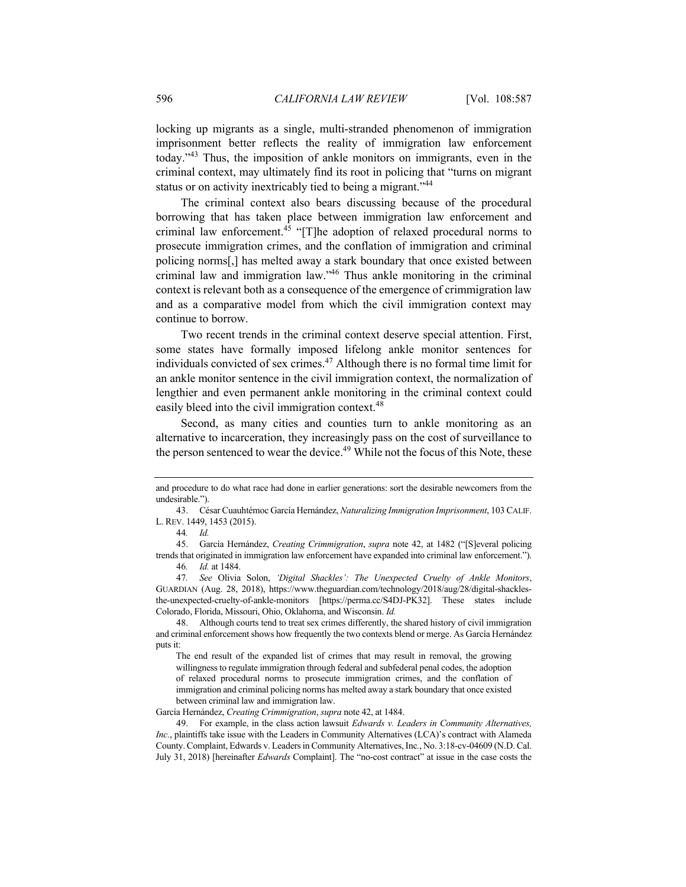locking up migrants as a single, multi-stranded phenomenon of immigration imprisonment better reflects the reality of immigration law enforcement today."<sup>43</sup> Thus, the imposition of ankle monitors on immigrants, even in the criminal context, may ultimately find its root in policing that "turns on migrant status or on activity inextricably tied to being a migrant."<sup>44</sup>

The criminal context also bears discussing because of the procedural borrowing that has taken place between immigration law enforcement and criminal law enforcement.<sup>45</sup> "[T]he adoption of relaxed procedural norms to prosecute immigration crimes, and the conflation of immigration and criminal policing norms[,] has melted away a stark boundary that once existed between criminal law and immigration law."46 Thus ankle monitoring in the criminal context is relevant both as a consequence of the emergence of crimmigration law and as a comparative model from which the civil immigration context may continue to borrow.

Two recent trends in the criminal context deserve special attention. First, some states have formally imposed lifelong ankle monitor sentences for individuals convicted of sex crimes. $47$  Although there is no formal time limit for an ankle monitor sentence in the civil immigration context, the normalization of lengthier and even permanent ankle monitoring in the criminal context could easily bleed into the civil immigration context.<sup>48</sup>

Second, as many cities and counties turn to ankle monitoring as an alternative to incarceration, they increasingly pass on the cost of surveillance to the person sentenced to wear the device.<sup>49</sup> While not the focus of this Note, these

García Hernández, *Creating Crimmigration*, *supra* note 42, at 1484.

and procedure to do what race had done in earlier generations: sort the desirable newcomers from the undesirable.").

<sup>43.</sup> César Cuauhtémoc García Hernández, *Naturalizing Immigration Imprisonment*, 103 CALIF. L. REV. 1449, 1453 (2015).

<sup>44</sup>*. Id.*

<sup>45.</sup> García Hernández, *Creating Crimmigration*, *supra* note 42, at 1482 ("[S]everal policing trends that originated in immigration law enforcement have expanded into criminal law enforcement."). 46*. Id.* at 1484.

<sup>47</sup>*. See* Olivia Solon, *'Digital Shackles': The Unexpected Cruelty of Ankle Monitors*, GUARDIAN (Aug. 28, 2018), https://www.theguardian.com/technology/2018/aug/28/digital-shacklesthe-unexpected-cruelty-of-ankle-monitors [https://perma.cc/S4DJ-PK32]. These states include Colorado, Florida, Missouri, Ohio, Oklahoma, and Wisconsin. *Id.*

<sup>48.</sup> Although courts tend to treat sex crimes differently, the shared history of civil immigration and criminal enforcement shows how frequently the two contexts blend or merge. As García Hernández puts it:

The end result of the expanded list of crimes that may result in removal, the growing willingness to regulate immigration through federal and subfederal penal codes, the adoption of relaxed procedural norms to prosecute immigration crimes, and the conflation of immigration and criminal policing norms has melted away a stark boundary that once existed between criminal law and immigration law.

<sup>49.</sup> For example, in the class action lawsuit *Edwards v. Leaders in Community Alternatives, Inc.*, plaintiffs take issue with the Leaders in Community Alternatives (LCA)'s contract with Alameda County. Complaint, Edwards v. Leaders in Community Alternatives, Inc*.*, No. 3:18-cv-04609 (N.D. Cal. July 31, 2018) [hereinafter *Edwards* Complaint]. The "no-cost contract" at issue in the case costs the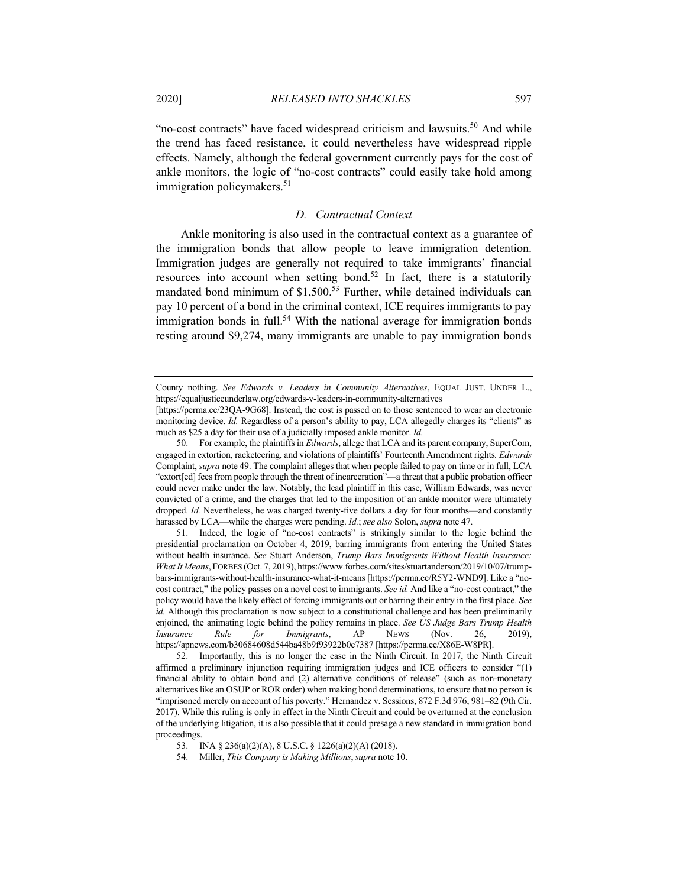"no-cost contracts" have faced widespread criticism and lawsuits.<sup>50</sup> And while the trend has faced resistance, it could nevertheless have widespread ripple effects. Namely, although the federal government currently pays for the cost of ankle monitors, the logic of "no-cost contracts" could easily take hold among immigration policymakers.<sup>51</sup>

# *D. Contractual Context*

Ankle monitoring is also used in the contractual context as a guarantee of the immigration bonds that allow people to leave immigration detention. Immigration judges are generally not required to take immigrants' financial resources into account when setting bond.<sup>52</sup> In fact, there is a statutorily mandated bond minimum of  $$1,500<sup>53</sup>$  Further, while detained individuals can pay 10 percent of a bond in the criminal context, ICE requires immigrants to pay immigration bonds in full.<sup>54</sup> With the national average for immigration bonds resting around \$9,274, many immigrants are unable to pay immigration bonds

50. For example, the plaintiffs in *Edwards*, allege that LCA and its parent company, SuperCom, engaged in extortion, racketeering, and violations of plaintiffs' Fourteenth Amendment rights*. Edwards*  Complaint, *supra* note 49. The complaint alleges that when people failed to pay on time or in full, LCA "extort[ed] fees from people through the threat of incarceration"—a threat that a public probation officer could never make under the law. Notably, the lead plaintiff in this case, William Edwards, was never convicted of a crime, and the charges that led to the imposition of an ankle monitor were ultimately dropped. *Id.* Nevertheless, he was charged twenty-five dollars a day for four months—and constantly harassed by LCA—while the charges were pending. *Id.*; *see also* Solon, *supra* note 47.

51. Indeed, the logic of "no-cost contracts" is strikingly similar to the logic behind the presidential proclamation on October 4, 2019, barring immigrants from entering the United States without health insurance. *See* Stuart Anderson, *Trump Bars Immigrants Without Health Insurance: What It Means*, FORBES (Oct. 7, 2019), https://www.forbes.com/sites/stuartanderson/2019/10/07/trumpbars-immigrants-without-health-insurance-what-it-means [https://perma.cc/R5Y2-WND9]. Like a "nocost contract," the policy passes on a novel cost to immigrants. *See id.* And like a "no-cost contract," the policy would have the likely effect of forcing immigrants out or barring their entry in the first place. *See id.* Although this proclamation is now subject to a constitutional challenge and has been preliminarily enjoined, the animating logic behind the policy remains in place. *See US Judge Bars Trump Health Insurance Rule for Immigrants*, AP NEWS (Nov. 26, 2019), https://apnews.com/b30684608d544ba48b9f93922b0e7387 [https://perma.cc/X86E-W8PR].

52. Importantly, this is no longer the case in the Ninth Circuit. In 2017, the Ninth Circuit affirmed a preliminary injunction requiring immigration judges and ICE officers to consider "(1) financial ability to obtain bond and (2) alternative conditions of release" (such as non-monetary alternatives like an OSUP or ROR order) when making bond determinations, to ensure that no person is "imprisoned merely on account of his poverty." Hernandez v. Sessions, 872 F.3d 976, 981–82 (9th Cir. 2017). While this ruling is only in effect in the Ninth Circuit and could be overturned at the conclusion of the underlying litigation, it is also possible that it could presage a new standard in immigration bond proceedings.

County nothing. *See Edwards v. Leaders in Community Alternatives*, EQUAL JUST. UNDER L., https://equaljusticeunderlaw.org/edwards-v-leaders-in-community-alternatives

<sup>[</sup>https://perma.cc/23QA-9G68]. Instead, the cost is passed on to those sentenced to wear an electronic monitoring device. *Id.* Regardless of a person's ability to pay, LCA allegedly charges its "clients" as much as \$25 a day for their use of a judicially imposed ankle monitor. *Id.*

<sup>53.</sup> INA § 236(a)(2)(A), 8 U.S.C. § 1226(a)(2)(A) (2018).

<sup>54.</sup> Miller, *This Company is Making Millions*,*supra* note 10.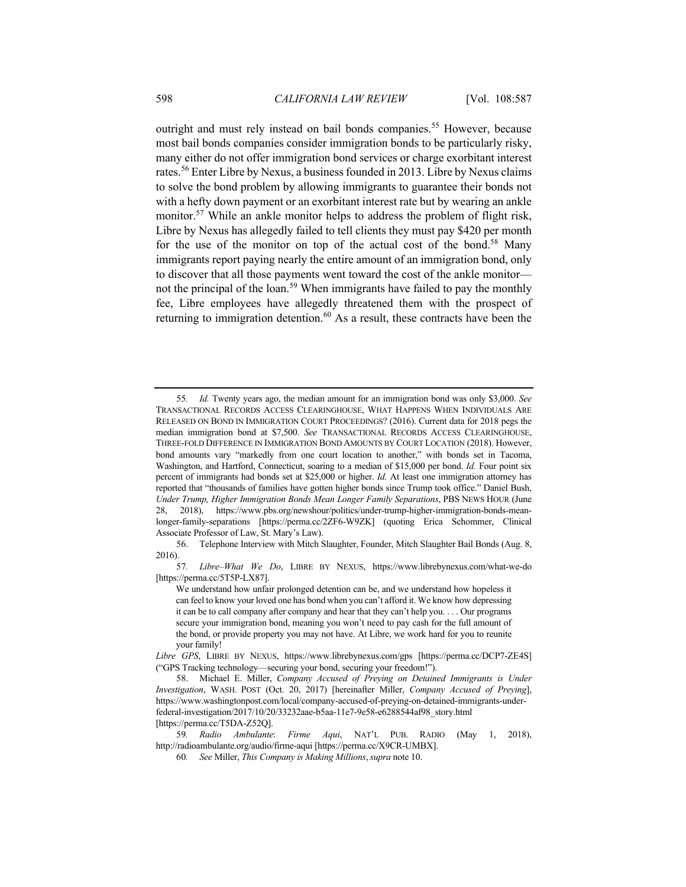outright and must rely instead on bail bonds companies.<sup>55</sup> However, because most bail bonds companies consider immigration bonds to be particularly risky, many either do not offer immigration bond services or charge exorbitant interest rates.<sup>56</sup> Enter Libre by Nexus, a business founded in 2013. Libre by Nexus claims to solve the bond problem by allowing immigrants to guarantee their bonds not with a hefty down payment or an exorbitant interest rate but by wearing an ankle monitor.<sup>57</sup> While an ankle monitor helps to address the problem of flight risk, Libre by Nexus has allegedly failed to tell clients they must pay \$420 per month for the use of the monitor on top of the actual cost of the bond.<sup>58</sup> Many immigrants report paying nearly the entire amount of an immigration bond, only to discover that all those payments went toward the cost of the ankle monitor not the principal of the loan.<sup>59</sup> When immigrants have failed to pay the monthly fee, Libre employees have allegedly threatened them with the prospect of returning to immigration detention.<sup>60</sup> As a result, these contracts have been the

57*. Libre–What We Do*, LIBRE BY NEXUS, https://www.librebynexus.com/what-we-do [https://perma.cc/5T5P-LX87].

<sup>55</sup>*. Id.* Twenty years ago, the median amount for an immigration bond was only \$3,000. *See*  TRANSACTIONAL RECORDS ACCESS CLEARINGHOUSE, WHAT HAPPENS WHEN INDIVIDUALS ARE RELEASED ON BOND IN IMMIGRATION COURT PROCEEDINGS? (2016). Current data for 2018 pegs the median immigration bond at \$7,500. *See* TRANSACTIONAL RECORDS ACCESS CLEARINGHOUSE, THREE-FOLD DIFFERENCE IN IMMIGRATION BOND AMOUNTS BY COURT LOCATION (2018). However, bond amounts vary "markedly from one court location to another," with bonds set in Tacoma, Washington, and Hartford, Connecticut, soaring to a median of \$15,000 per bond. *Id.* Four point six percent of immigrants had bonds set at \$25,000 or higher. *Id.* At least one immigration attorney has reported that "thousands of families have gotten higher bonds since Trump took office." Daniel Bush, *Under Trump, Higher Immigration Bonds Mean Longer Family Separations*, PBS NEWS HOUR (June 28, 2018), https://www.pbs.org/newshour/politics/under-trump-higher-immigration-bonds-meanlonger-family-separations [https://perma.cc/2ZF6-W9ZK] (quoting Erica Schommer, Clinical Associate Professor of Law, St. Mary's Law).

<sup>56.</sup> Telephone Interview with Mitch Slaughter, Founder, Mitch Slaughter Bail Bonds (Aug. 8, 2016).

We understand how unfair prolonged detention can be, and we understand how hopeless it can feel to know your loved one has bond when you can't afford it. We know how depressing it can be to call company after company and hear that they can't help you. . . . Our programs secure your immigration bond, meaning you won't need to pay cash for the full amount of the bond, or provide property you may not have. At Libre, we work hard for you to reunite your family!

*Libre GPS*, LIBRE BY NEXUS, https://www.librebynexus.com/gps [https://perma.cc/DCP7-ZE4S] ("GPS Tracking technology—securing your bond, securing your freedom!").

<sup>58.</sup> Michael E. Miller, *Company Accused of Preying on Detained Immigrants is Under Investigation*, WASH. POST (Oct. 20, 2017) [hereinafter Miller, *Company Accused of Preying*], https://www.washingtonpost.com/local/company-accused-of-preying-on-detained-immigrants-underfederal-investigation/2017/10/20/33232aae-b5aa-11e7-9e58-e6288544af98\_story.html [https://perma.cc/T5DA-Z52Q].

<sup>59</sup>*. Radio Ambulante*: *Firme Aqui*, NAT'L PUB. RADIO (May 1, 2018), http://radioambulante.org/audio/firme-aqui [https://perma.cc/X9CR-UMBX].

<sup>60</sup>*. See* Miller, *This Company is Making Millions*,*supra* note 10.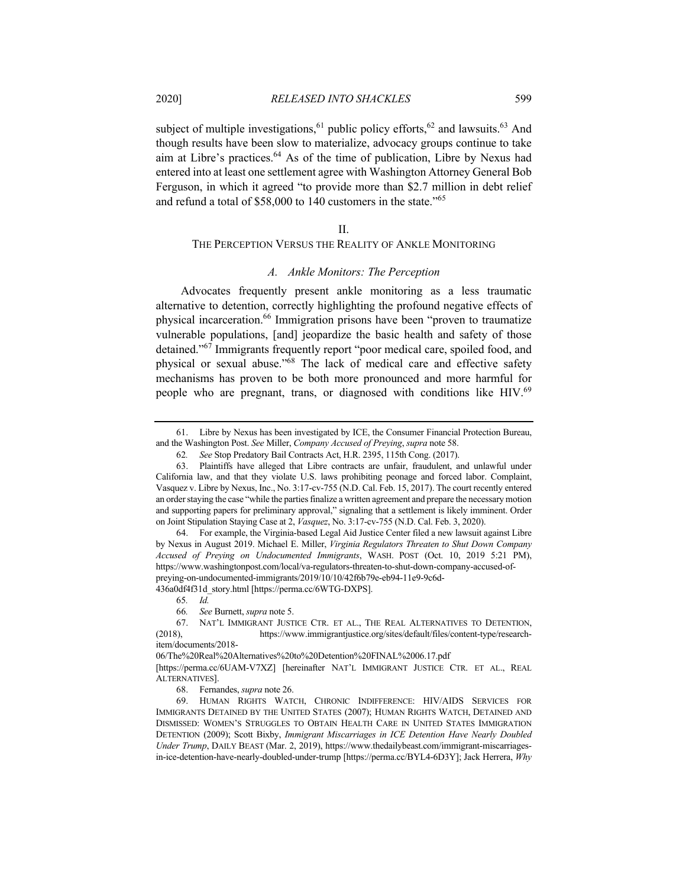subject of multiple investigations,  $61$  public policy efforts,  $62$  and lawsuits.  $63$  And though results have been slow to materialize, advocacy groups continue to take aim at Libre's practices.<sup>64</sup> As of the time of publication, Libre by Nexus had entered into at least one settlement agree with Washington Attorney General Bob Ferguson, in which it agreed "to provide more than \$2.7 million in debt relief and refund a total of \$58,000 to 140 customers in the state."<sup>65</sup>

#### II.

# THE PERCEPTION VERSUS THE REALITY OF ANKLE MONITORING

## *A. Ankle Monitors: The Perception*

Advocates frequently present ankle monitoring as a less traumatic alternative to detention, correctly highlighting the profound negative effects of physical incarceration.<sup>66</sup> Immigration prisons have been "proven to traumatize vulnerable populations, [and] jeopardize the basic health and safety of those detained."<sup>67</sup> Immigrants frequently report "poor medical care, spoiled food, and physical or sexual abuse."68 The lack of medical care and effective safety mechanisms has proven to be both more pronounced and more harmful for people who are pregnant, trans, or diagnosed with conditions like HIV.<sup>69</sup>

436a0df4f31d\_story.html [https://perma.cc/6WTG-DXPS].

65*. Id.*

68. Fernandes, *supra* note 26.

<sup>61.</sup> Libre by Nexus has been investigated by ICE, the Consumer Financial Protection Bureau, and the Washington Post. *See* Miller, *Company Accused of Preying*, *supra* note 58.

<sup>62</sup>*. See* Stop Predatory Bail Contracts Act, H.R. 2395, 115th Cong. (2017).

<sup>63.</sup> Plaintiffs have alleged that Libre contracts are unfair, fraudulent, and unlawful under California law, and that they violate U.S. laws prohibiting peonage and forced labor. Complaint, Vasquez v. Libre by Nexus, Inc., No. 3:17-cv-755 (N.D. Cal. Feb. 15, 2017). The court recently entered an order staying the case "while the parties finalize a written agreement and prepare the necessary motion and supporting papers for preliminary approval," signaling that a settlement is likely imminent. Order on Joint Stipulation Staying Case at 2, *Vasquez*, No. 3:17-cv-755 (N.D. Cal. Feb. 3, 2020).

<sup>64.</sup> For example, the Virginia-based Legal Aid Justice Center filed a new lawsuit against Libre by Nexus in August 2019. Michael E. Miller, *Virginia Regulators Threaten to Shut Down Company Accused of Preying on Undocumented Immigrants*, WASH. POST (Oct. 10, 2019 5:21 PM), https://www.washingtonpost.com/local/va-regulators-threaten-to-shut-down-company-accused-ofpreying-on-undocumented-immigrants/2019/10/10/42f6b79e-eb94-11e9-9c6d-

<sup>66</sup>*. See* Burnett, *supra* note 5.

<sup>67.</sup> NAT'L IMMIGRANT JUSTICE CTR. ET AL., THE REAL ALTERNATIVES TO DETENTION, (2018), https://www.immigrantjustice.org/sites/default/files/content-type/researchitem/documents/2018-

<sup>06/</sup>The%20Real%20Alternatives%20to%20Detention%20FINAL%2006.17.pdf

<sup>[</sup>https://perma.cc/6UAM-V7XZ] [hereinafter NAT'L IMMIGRANT JUSTICE CTR. ET AL., REAL ALTERNATIVES].

<sup>69.</sup> HUMAN RIGHTS WATCH, CHRONIC INDIFFERENCE: HIV/AIDS SERVICES FOR IMMIGRANTS DETAINED BY THE UNITED STATES (2007); HUMAN RIGHTS WATCH, DETAINED AND DISMISSED: WOMEN'S STRUGGLES TO OBTAIN HEALTH CARE IN UNITED STATES IMMIGRATION DETENTION (2009); Scott Bixby, *Immigrant Miscarriages in ICE Detention Have Nearly Doubled Under Trump*, DAILY BEAST (Mar. 2, 2019), https://www.thedailybeast.com/immigrant-miscarriagesin-ice-detention-have-nearly-doubled-under-trump [https://perma.cc/BYL4-6D3Y]; Jack Herrera, *Why*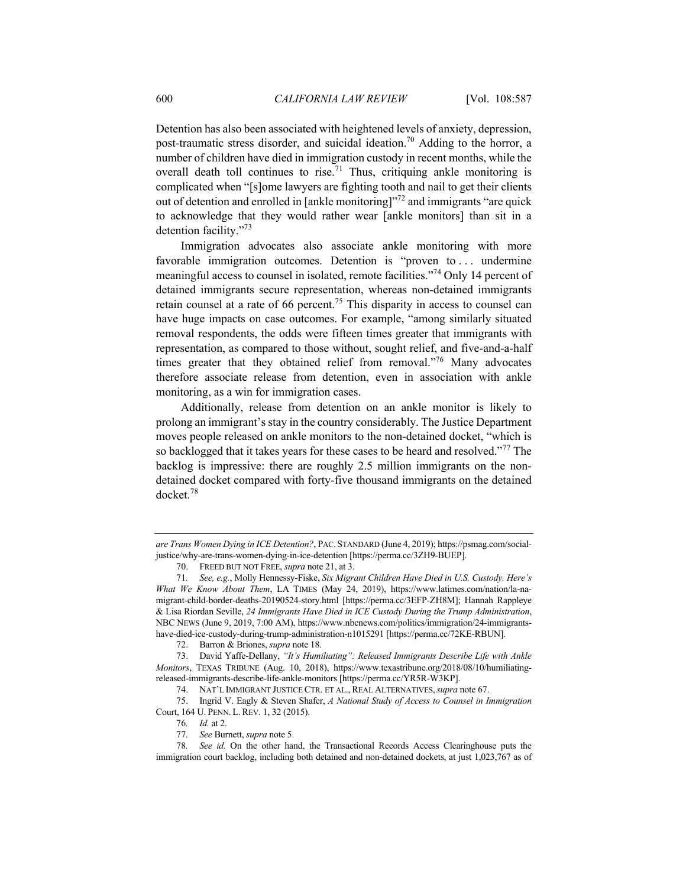Detention has also been associated with heightened levels of anxiety, depression, post-traumatic stress disorder, and suicidal ideation.<sup>70</sup> Adding to the horror, a number of children have died in immigration custody in recent months, while the overall death toll continues to rise.<sup>71</sup> Thus, critiquing ankle monitoring is complicated when "[s]ome lawyers are fighting tooth and nail to get their clients out of detention and enrolled in [ankle monitoring]"<sup>72</sup> and immigrants "are quick to acknowledge that they would rather wear [ankle monitors] than sit in a detention facility."73

Immigration advocates also associate ankle monitoring with more favorable immigration outcomes. Detention is "proven to ... undermine meaningful access to counsel in isolated, remote facilities."<sup>74</sup> Only 14 percent of detained immigrants secure representation, whereas non-detained immigrants retain counsel at a rate of 66 percent.<sup>75</sup> This disparity in access to counsel can have huge impacts on case outcomes. For example, "among similarly situated removal respondents, the odds were fifteen times greater that immigrants with representation, as compared to those without, sought relief, and five-and-a-half times greater that they obtained relief from removal."<sup>76</sup> Many advocates therefore associate release from detention, even in association with ankle monitoring, as a win for immigration cases.

Additionally, release from detention on an ankle monitor is likely to prolong an immigrant's stay in the country considerably. The Justice Department moves people released on ankle monitors to the non-detained docket, "which is so backlogged that it takes years for these cases to be heard and resolved."<sup>77</sup> The backlog is impressive: there are roughly 2.5 million immigrants on the nondetained docket compared with forty-five thousand immigrants on the detained docket.<sup>78</sup>

75. Ingrid V. Eagly & Steven Shafer, *A National Study of Access to Counsel in Immigration*  Court, 164 U. PENN. L. REV. 1, 32 (2015).

*are Trans Women Dying in ICE Detention?*, PAC. STANDARD (June 4, 2019); https://psmag.com/socialjustice/why-are-trans-women-dying-in-ice-detention [https://perma.cc/3ZH9-BUEP].

<sup>70.</sup> FREED BUT NOT FREE, *supra* note 21, at 3.

<sup>71</sup>*. See, e.g.*, Molly Hennessy-Fiske, *Six Migrant Children Have Died in U.S. Custody. Here's What We Know About Them*, LA TIMES (May 24, 2019), https://www.latimes.com/nation/la-namigrant-child-border-deaths-20190524-story.html [https://perma.cc/3EFP-ZH8M]; Hannah Rappleye & Lisa Riordan Seville, *24 Immigrants Have Died in ICE Custody During the Trump Administration*, NBC NEWS (June 9, 2019, 7:00 AM), https://www.nbcnews.com/politics/immigration/24-immigrantshave-died-ice-custody-during-trump-administration-n1015291 [https://perma.cc/72KE-RBUN].

<sup>72.</sup> Barron & Briones, *supra* note 18.

<sup>73.</sup> David Yaffe-Dellany, *"It's Humiliating": Released Immigrants Describe Life with Ankle Monitors*, TEXAS TRIBUNE (Aug. 10, 2018), https://www.texastribune.org/2018/08/10/humiliatingreleased-immigrants-describe-life-ankle-monitors [https://perma.cc/YR5R-W3KP].

<sup>74.</sup> NAT'L IMMIGRANT JUSTICE CTR. ET AL., REAL ALTERNATIVES,*supra* note 67.

<sup>76</sup>*. Id.* at 2.

<sup>77</sup>*. See* Burnett, *supra* note 5.

<sup>78</sup>*. See id.* On the other hand, the Transactional Records Access Clearinghouse puts the immigration court backlog, including both detained and non-detained dockets, at just 1,023,767 as of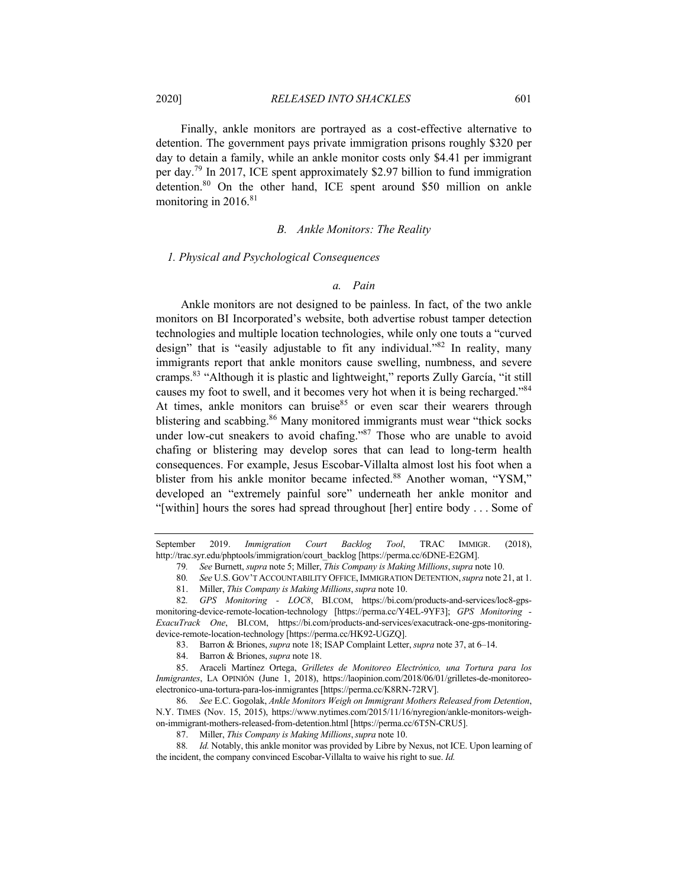Finally, ankle monitors are portrayed as a cost-effective alternative to detention. The government pays private immigration prisons roughly \$320 per day to detain a family, while an ankle monitor costs only \$4.41 per immigrant per day.79 In 2017, ICE spent approximately \$2.97 billion to fund immigration detention.<sup>80</sup> On the other hand, ICE spent around \$50 million on ankle monitoring in  $2016$ <sup>81</sup>

#### *B. Ankle Monitors: The Reality*

## *1. Physical and Psychological Consequences*

#### *a. Pain*

Ankle monitors are not designed to be painless. In fact, of the two ankle monitors on BI Incorporated's website, both advertise robust tamper detection technologies and multiple location technologies, while only one touts a "curved design" that is "easily adjustable to fit any individual."<sup>82</sup> In reality, many immigrants report that ankle monitors cause swelling, numbness, and severe cramps.83 "Although it is plastic and lightweight," reports Zully García, "it still causes my foot to swell, and it becomes very hot when it is being recharged."<sup>84</sup> At times, ankle monitors can bruise<sup>85</sup> or even scar their wearers through blistering and scabbing.<sup>86</sup> Many monitored immigrants must wear "thick socks" under low-cut sneakers to avoid chafing."<sup>87</sup> Those who are unable to avoid chafing or blistering may develop sores that can lead to long-term health consequences. For example, Jesus Escobar-Villalta almost lost his foot when a blister from his ankle monitor became infected.<sup>88</sup> Another woman, "YSM," developed an "extremely painful sore" underneath her ankle monitor and "[within] hours the sores had spread throughout [her] entire body . . . Some of

September 2019. *Immigration Court Backlog Tool*, TRAC IMMIGR. (2018), http://trac.syr.edu/phptools/immigration/court\_backlog [https://perma.cc/6DNE-E2GM].

<sup>79</sup>*. See* Burnett, *supra* note 5; Miller, *This Company is Making Millions*,*supra* note 10.

<sup>80</sup>*. See* U.S. GOV'T ACCOUNTABILITY OFFICE,IMMIGRATION DETENTION,*supra* note 21, at 1.

<sup>81.</sup> Miller, *This Company is Making Millions*,*supra* note 10.

<sup>82</sup>*. GPS Monitoring - LOC8*, BI.COM, https://bi.com/products-and-services/loc8-gpsmonitoring-device-remote-location-technology [https://perma.cc/Y4EL-9YF3]; *GPS Monitoring - ExacuTrack One*, BI.COM, https://bi.com/products-and-services/exacutrack-one-gps-monitoringdevice-remote-location-technology [https://perma.cc/HK92-UGZQ].

<sup>83.</sup> Barron & Briones, *supra* note 18; ISAP Complaint Letter, *supra* note 37, at 6–14.

<sup>84.</sup> Barron & Briones, *supra* note 18.

<sup>85.</sup> Araceli Martínez Ortega, *Grilletes de Monitoreo Electrónico, una Tortura para los Inmigrantes*, LA OPINIÓN (June 1, 2018), https://laopinion.com/2018/06/01/grilletes-de-monitoreoelectronico-una-tortura-para-los-inmigrantes [https://perma.cc/K8RN-72RV].

<sup>86</sup>*. See* E.C. Gogolak, *Ankle Monitors Weigh on Immigrant Mothers Released from Detention*, N.Y. TIMES (Nov. 15, 2015), https://www.nytimes.com/2015/11/16/nyregion/ankle-monitors-weighon-immigrant-mothers-released-from-detention.html [https://perma.cc/6T5N-CRU5].

<sup>87.</sup> Miller, *This Company is Making Millions*,*supra* note 10.

<sup>88</sup>*. Id.* Notably, this ankle monitor was provided by Libre by Nexus, not ICE. Upon learning of the incident, the company convinced Escobar-Villalta to waive his right to sue. *Id.*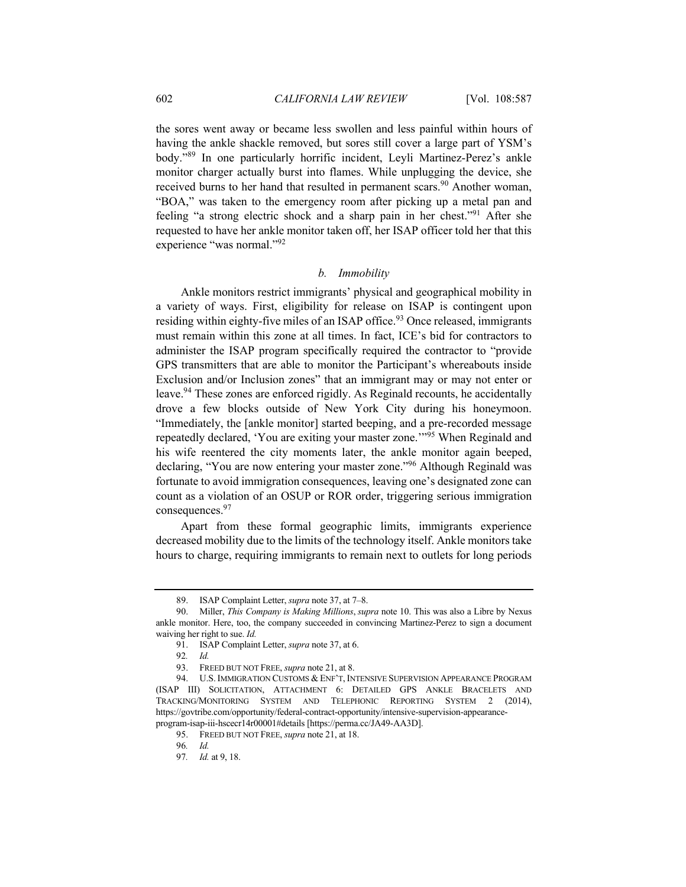the sores went away or became less swollen and less painful within hours of having the ankle shackle removed, but sores still cover a large part of YSM's body."<sup>89</sup> In one particularly horrific incident, Leyli Martinez-Perez's ankle monitor charger actually burst into flames. While unplugging the device, she received burns to her hand that resulted in permanent scars.<sup>90</sup> Another woman, "BOA," was taken to the emergency room after picking up a metal pan and feeling "a strong electric shock and a sharp pain in her chest."91 After she requested to have her ankle monitor taken off, her ISAP officer told her that this experience "was normal."92

# *b. Immobility*

Ankle monitors restrict immigrants' physical and geographical mobility in a variety of ways. First, eligibility for release on ISAP is contingent upon residing within eighty-five miles of an ISAP office.<sup>93</sup> Once released, immigrants must remain within this zone at all times. In fact, ICE's bid for contractors to administer the ISAP program specifically required the contractor to "provide GPS transmitters that are able to monitor the Participant's whereabouts inside Exclusion and/or Inclusion zones" that an immigrant may or may not enter or leave.<sup>94</sup> These zones are enforced rigidly. As Reginald recounts, he accidentally drove a few blocks outside of New York City during his honeymoon. "Immediately, the [ankle monitor] started beeping, and a pre-recorded message repeatedly declared, 'You are exiting your master zone.'"<sup>95</sup> When Reginald and his wife reentered the city moments later, the ankle monitor again beeped, declaring, "You are now entering your master zone."<sup>96</sup> Although Reginald was fortunate to avoid immigration consequences, leaving one's designated zone can count as a violation of an OSUP or ROR order, triggering serious immigration consequences.<sup>97</sup>

Apart from these formal geographic limits, immigrants experience decreased mobility due to the limits of the technology itself. Ankle monitors take hours to charge, requiring immigrants to remain next to outlets for long periods

<sup>89.</sup> ISAP Complaint Letter, *supra* note 37, at 7–8.

<sup>90.</sup> Miller, *This Company is Making Millions*, *supra* note 10. This was also a Libre by Nexus ankle monitor. Here, too, the company succeeded in convincing Martinez-Perez to sign a document waiving her right to sue. *Id.*

<sup>91.</sup> ISAP Complaint Letter, *supra* note 37, at 6.

<sup>92</sup>*. Id.*

<sup>93.</sup> FREED BUT NOT FREE, *supra* note 21, at 8.

<sup>94.</sup> U.S. IMMIGRATION CUSTOMS & ENF'T, INTENSIVE SUPERVISION APPEARANCE PROGRAM (ISAP III) SOLICITATION, ATTACHMENT 6: DETAILED GPS ANKLE BRACELETS AND TRACKING/MONITORING SYSTEM AND TELEPHONIC REPORTING SYSTEM 2 (2014), https://govtribe.com/opportunity/federal-contract-opportunity/intensive-supervision-appearanceprogram-isap-iii-hscecr14r00001#details [https://perma.cc/JA49-AA3D].

<sup>95.</sup> FREED BUT NOT FREE, *supra* note 21, at 18.

<sup>96</sup>*. Id.*

<sup>97</sup>*. Id.* at 9, 18.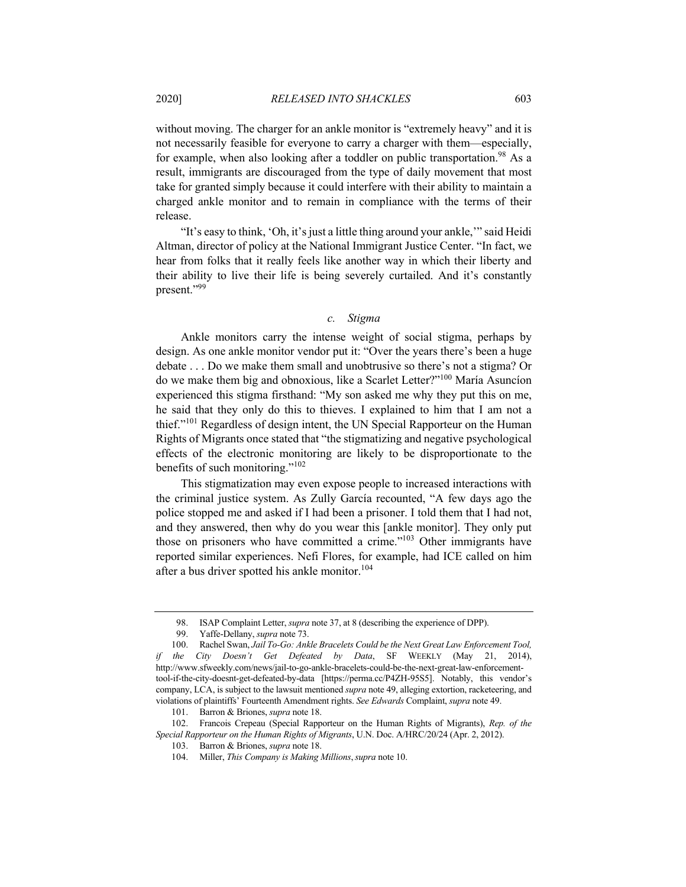without moving. The charger for an ankle monitor is "extremely heavy" and it is not necessarily feasible for everyone to carry a charger with them—especially, for example, when also looking after a toddler on public transportation.<sup>98</sup> As a result, immigrants are discouraged from the type of daily movement that most take for granted simply because it could interfere with their ability to maintain a charged ankle monitor and to remain in compliance with the terms of their release.

"It's easy to think, 'Oh, it's just a little thing around your ankle,'" said Heidi Altman, director of policy at the National Immigrant Justice Center. "In fact, we hear from folks that it really feels like another way in which their liberty and their ability to live their life is being severely curtailed. And it's constantly present."99

#### *c. Stigma*

Ankle monitors carry the intense weight of social stigma, perhaps by design. As one ankle monitor vendor put it: "Over the years there's been a huge debate . . . Do we make them small and unobtrusive so there's not a stigma? Or do we make them big and obnoxious, like a Scarlet Letter?"100 María Asuncíon experienced this stigma firsthand: "My son asked me why they put this on me, he said that they only do this to thieves. I explained to him that I am not a thief."<sup>101</sup> Regardless of design intent, the UN Special Rapporteur on the Human Rights of Migrants once stated that "the stigmatizing and negative psychological effects of the electronic monitoring are likely to be disproportionate to the benefits of such monitoring."<sup>102</sup>

This stigmatization may even expose people to increased interactions with the criminal justice system. As Zully García recounted, "A few days ago the police stopped me and asked if I had been a prisoner. I told them that I had not, and they answered, then why do you wear this [ankle monitor]. They only put those on prisoners who have committed a crime."<sup>103</sup> Other immigrants have reported similar experiences. Nefi Flores, for example, had ICE called on him after a bus driver spotted his ankle monitor.<sup>104</sup>

<sup>98.</sup> ISAP Complaint Letter, *supra* note 37, at 8 (describing the experience of DPP).

Yaffe-Dellany, *supra* note 73.

<sup>100.</sup> Rachel Swan, *Jail To-Go: Ankle Bracelets Could be the Next Great Law Enforcement Tool, if the City Doesn't Get Defeated by Data*, SF WEEKLY (May 21, 2014), http://www.sfweekly.com/news/jail-to-go-ankle-bracelets-could-be-the-next-great-law-enforcementtool-if-the-city-doesnt-get-defeated-by-data [https://perma.cc/P4ZH-95S5]. Notably, this vendor's company, LCA, is subject to the lawsuit mentioned *supra* note 49, alleging extortion, racketeering, and violations of plaintiffs' Fourteenth Amendment rights. *See Edwards* Complaint, *supra* note 49.

<sup>101.</sup> Barron & Briones, *supra* note 18.

<sup>102.</sup> Francois Crepeau (Special Rapporteur on the Human Rights of Migrants), *Rep. of the Special Rapporteur on the Human Rights of Migrants*, U.N. Doc. A/HRC/20/24 (Apr. 2, 2012).

<sup>103.</sup> Barron & Briones, *supra* note 18.

<sup>104.</sup> Miller, *This Company is Making Millions*,*supra* note 10.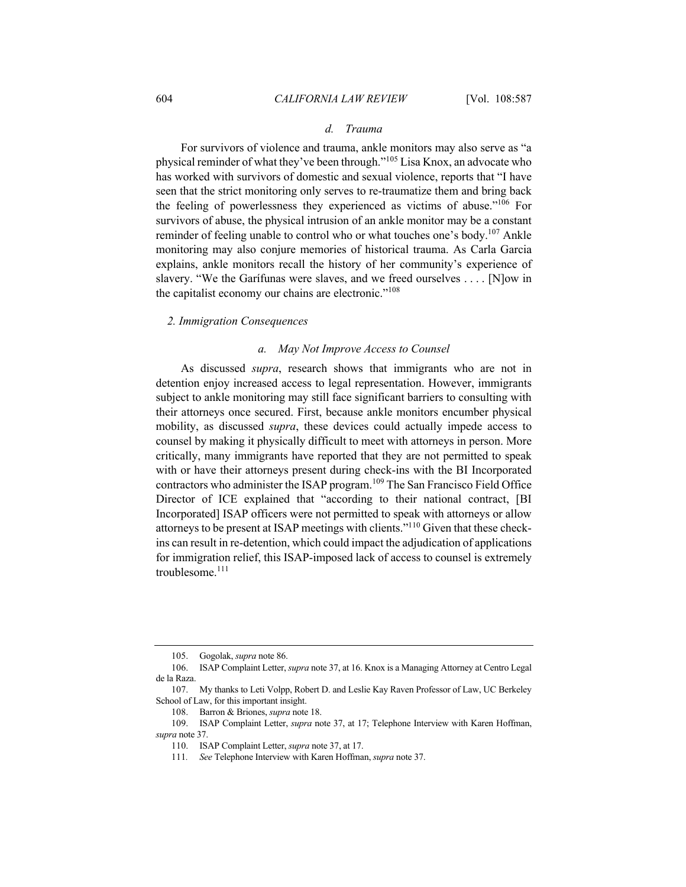## *d. Trauma*

For survivors of violence and trauma, ankle monitors may also serve as "a physical reminder of what they've been through."<sup>105</sup> Lisa Knox, an advocate who has worked with survivors of domestic and sexual violence, reports that "I have seen that the strict monitoring only serves to re-traumatize them and bring back the feeling of powerlessness they experienced as victims of abuse."<sup>106</sup> For survivors of abuse, the physical intrusion of an ankle monitor may be a constant reminder of feeling unable to control who or what touches one's body.<sup>107</sup> Ankle monitoring may also conjure memories of historical trauma. As Carla Garcia explains, ankle monitors recall the history of her community's experience of slavery. "We the Garífunas were slaves, and we freed ourselves . . . . [N]ow in the capitalist economy our chains are electronic."<sup>108</sup>

## *2. Immigration Consequences*

#### *a. May Not Improve Access to Counsel*

As discussed *supra*, research shows that immigrants who are not in detention enjoy increased access to legal representation. However, immigrants subject to ankle monitoring may still face significant barriers to consulting with their attorneys once secured. First, because ankle monitors encumber physical mobility, as discussed *supra*, these devices could actually impede access to counsel by making it physically difficult to meet with attorneys in person. More critically, many immigrants have reported that they are not permitted to speak with or have their attorneys present during check-ins with the BI Incorporated contractors who administer the ISAP program.<sup>109</sup> The San Francisco Field Office Director of ICE explained that "according to their national contract, [BI Incorporated] ISAP officers were not permitted to speak with attorneys or allow attorneys to be present at ISAP meetings with clients."<sup>110</sup> Given that these checkins can result in re-detention, which could impact the adjudication of applications for immigration relief, this ISAP-imposed lack of access to counsel is extremely troublesome.<sup>111</sup>

<sup>105.</sup> Gogolak, *supra* note 86.

<sup>106.</sup> ISAP Complaint Letter, *supra* note 37, at 16. Knox is a Managing Attorney at Centro Legal de la Raza.

<sup>107.</sup> My thanks to Leti Volpp, Robert D. and Leslie Kay Raven Professor of Law, UC Berkeley School of Law, for this important insight.

<sup>108.</sup> Barron & Briones, *supra* note 18.

<sup>109.</sup> ISAP Complaint Letter, *supra* note 37, at 17; Telephone Interview with Karen Hoffman, *supra* note 37.

<sup>110.</sup> ISAP Complaint Letter, *supra* note 37, at 17.

<sup>111</sup>*. See* Telephone Interview with Karen Hoffman, *supra* note 37.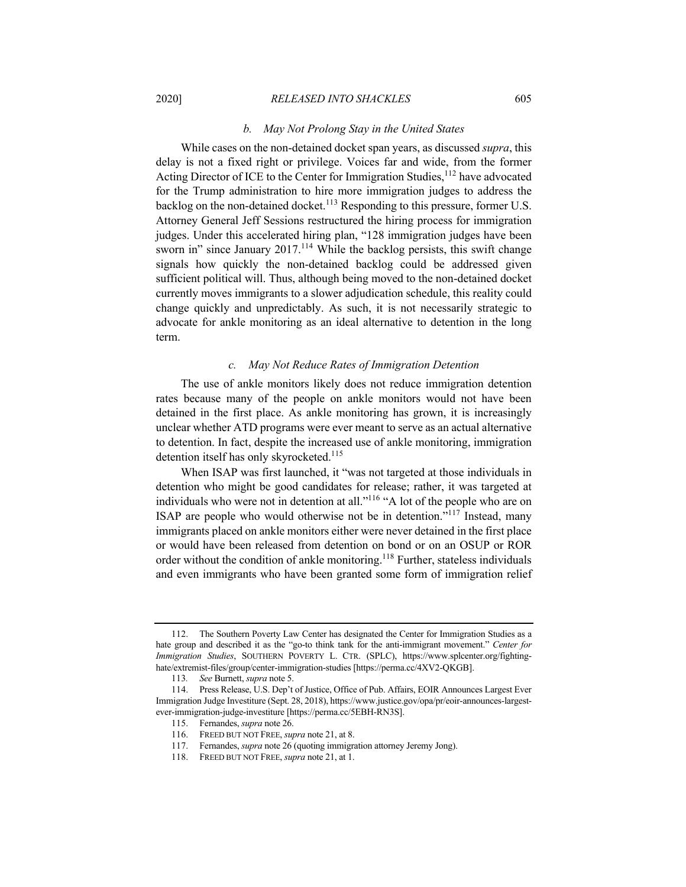## *b. May Not Prolong Stay in the United States*

While cases on the non-detained docket span years, as discussed *supra*, this delay is not a fixed right or privilege. Voices far and wide, from the former Acting Director of ICE to the Center for Immigration Studies,  $112$  have advocated for the Trump administration to hire more immigration judges to address the backlog on the non-detained docket.<sup>113</sup> Responding to this pressure, former U.S. Attorney General Jeff Sessions restructured the hiring process for immigration judges. Under this accelerated hiring plan, "128 immigration judges have been sworn in" since January 2017.<sup>114</sup> While the backlog persists, this swift change signals how quickly the non-detained backlog could be addressed given sufficient political will. Thus, although being moved to the non-detained docket currently moves immigrants to a slower adjudication schedule, this reality could change quickly and unpredictably. As such, it is not necessarily strategic to advocate for ankle monitoring as an ideal alternative to detention in the long term.

#### *c. May Not Reduce Rates of Immigration Detention*

The use of ankle monitors likely does not reduce immigration detention rates because many of the people on ankle monitors would not have been detained in the first place. As ankle monitoring has grown, it is increasingly unclear whether ATD programs were ever meant to serve as an actual alternative to detention. In fact, despite the increased use of ankle monitoring, immigration detention itself has only skyrocketed.<sup>115</sup>

When ISAP was first launched, it "was not targeted at those individuals in detention who might be good candidates for release; rather, it was targeted at individuals who were not in detention at all."116 "A lot of the people who are on ISAP are people who would otherwise not be in detention."<sup>117</sup> Instead, many immigrants placed on ankle monitors either were never detained in the first place or would have been released from detention on bond or on an OSUP or ROR order without the condition of ankle monitoring.<sup>118</sup> Further, stateless individuals and even immigrants who have been granted some form of immigration relief

<sup>112.</sup> The Southern Poverty Law Center has designated the Center for Immigration Studies as a hate group and described it as the "go-to think tank for the anti-immigrant movement." *Center for Immigration Studies*, SOUTHERN POVERTY L. CTR. (SPLC), https://www.splcenter.org/fightinghate/extremist-files/group/center-immigration-studies [https://perma.cc/4XV2-QKGB].

<sup>113</sup>*. See* Burnett, *supra* note 5.

<sup>114.</sup> Press Release, U.S. Dep't of Justice, Office of Pub. Affairs, EOIR Announces Largest Ever Immigration Judge Investiture (Sept. 28, 2018), https://www.justice.gov/opa/pr/eoir-announces-largestever-immigration-judge-investiture [https://perma.cc/5EBH-RN3S].

<sup>115.</sup> Fernandes, *supra* note 26.

<sup>116.</sup> FREED BUT NOT FREE, *supra* note 21, at 8.

<sup>117.</sup> Fernandes, *supra* note 26 (quoting immigration attorney Jeremy Jong).

<sup>118.</sup> FREED BUT NOT FREE, *supra* note 21, at 1.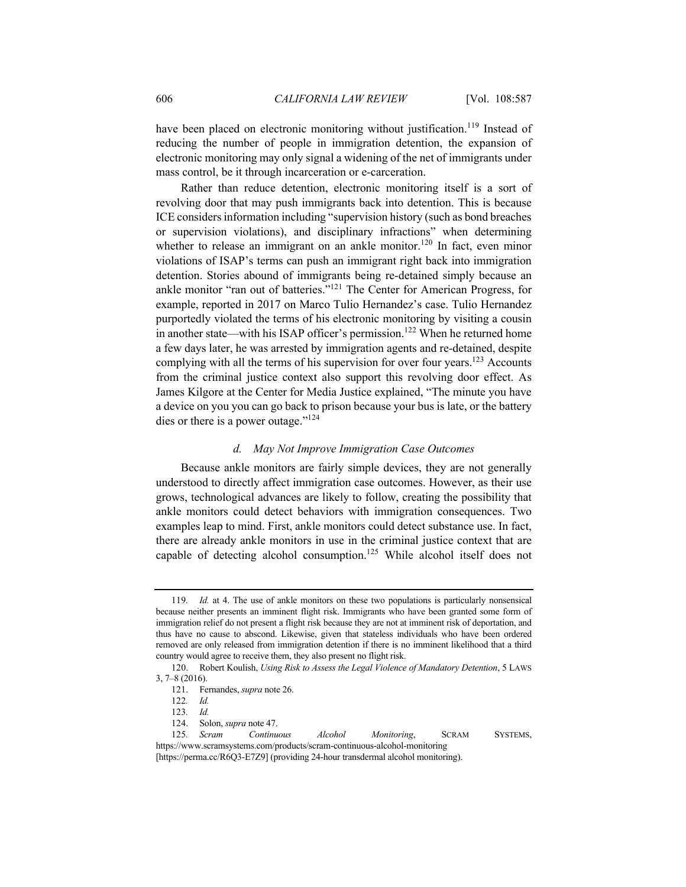have been placed on electronic monitoring without justification.<sup>119</sup> Instead of reducing the number of people in immigration detention, the expansion of electronic monitoring may only signal a widening of the net of immigrants under mass control, be it through incarceration or e-carceration.

Rather than reduce detention, electronic monitoring itself is a sort of revolving door that may push immigrants back into detention. This is because ICE considers information including "supervision history (such as bond breaches or supervision violations), and disciplinary infractions" when determining whether to release an immigrant on an ankle monitor.<sup>120</sup> In fact, even minor violations of ISAP's terms can push an immigrant right back into immigration detention. Stories abound of immigrants being re-detained simply because an ankle monitor "ran out of batteries."121 The Center for American Progress, for example, reported in 2017 on Marco Tulio Hernandez's case. Tulio Hernandez purportedly violated the terms of his electronic monitoring by visiting a cousin in another state—with his ISAP officer's permission.<sup>122</sup> When he returned home a few days later, he was arrested by immigration agents and re-detained, despite complying with all the terms of his supervision for over four years.<sup>123</sup> Accounts from the criminal justice context also support this revolving door effect. As James Kilgore at the Center for Media Justice explained, "The minute you have a device on you you can go back to prison because your bus is late, or the battery dies or there is a power outage."<sup>124</sup>

## *d. May Not Improve Immigration Case Outcomes*

Because ankle monitors are fairly simple devices, they are not generally understood to directly affect immigration case outcomes. However, as their use grows, technological advances are likely to follow, creating the possibility that ankle monitors could detect behaviors with immigration consequences. Two examples leap to mind. First, ankle monitors could detect substance use. In fact, there are already ankle monitors in use in the criminal justice context that are capable of detecting alcohol consumption.<sup>125</sup> While alcohol itself does not

<sup>119</sup>*. Id.* at 4. The use of ankle monitors on these two populations is particularly nonsensical because neither presents an imminent flight risk. Immigrants who have been granted some form of immigration relief do not present a flight risk because they are not at imminent risk of deportation, and thus have no cause to abscond. Likewise, given that stateless individuals who have been ordered removed are only released from immigration detention if there is no imminent likelihood that a third country would agree to receive them, they also present no flight risk.

<sup>120.</sup> Robert Koulish, *Using Risk to Assess the Legal Violence of Mandatory Detention*, 5 LAWS 3, 7–8 (2016).

<sup>121.</sup> Fernandes, *supra* note 26.

<sup>122</sup>*. Id.*

<sup>123</sup>*. Id.*

<sup>124.</sup> Solon, *supra* note 47.

<sup>125</sup>*. Scram Continuous Alcohol Monitoring*, SCRAM SYSTEMS, https://www.scramsystems.com/products/scram-continuous-alcohol-monitoring

<sup>[</sup>https://perma.cc/R6Q3-E7Z9] (providing 24-hour transdermal alcohol monitoring).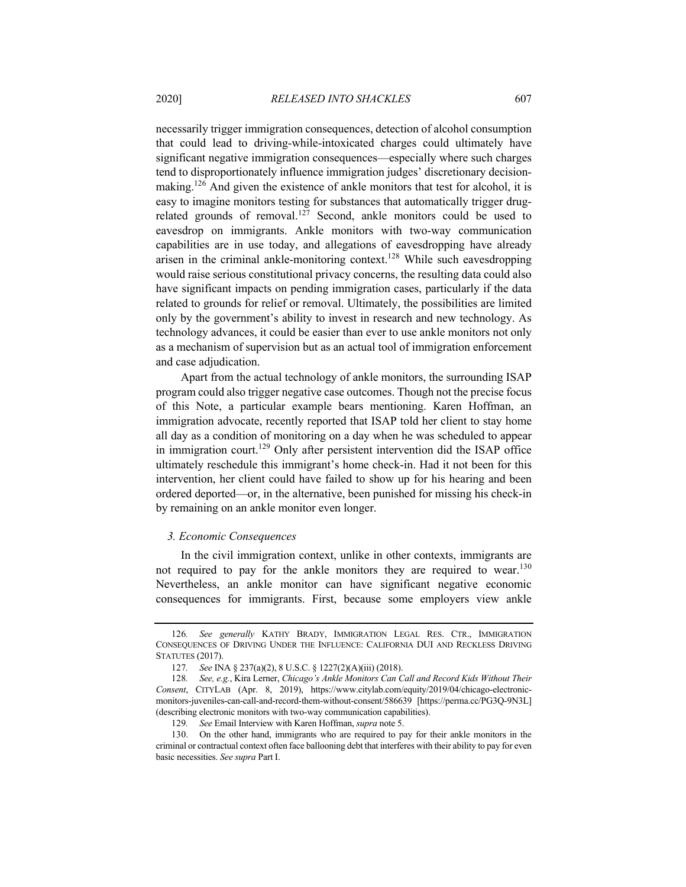necessarily trigger immigration consequences, detection of alcohol consumption that could lead to driving-while-intoxicated charges could ultimately have significant negative immigration consequences—especially where such charges tend to disproportionately influence immigration judges' discretionary decisionmaking.<sup>126</sup> And given the existence of ankle monitors that test for alcohol, it is easy to imagine monitors testing for substances that automatically trigger drugrelated grounds of removal.<sup>127</sup> Second, ankle monitors could be used to eavesdrop on immigrants. Ankle monitors with two-way communication capabilities are in use today, and allegations of eavesdropping have already arisen in the criminal ankle-monitoring context.<sup>128</sup> While such eavesdropping would raise serious constitutional privacy concerns, the resulting data could also have significant impacts on pending immigration cases, particularly if the data related to grounds for relief or removal. Ultimately, the possibilities are limited only by the government's ability to invest in research and new technology. As technology advances, it could be easier than ever to use ankle monitors not only as a mechanism of supervision but as an actual tool of immigration enforcement and case adjudication.

Apart from the actual technology of ankle monitors, the surrounding ISAP program could also trigger negative case outcomes. Though not the precise focus of this Note, a particular example bears mentioning. Karen Hoffman, an immigration advocate, recently reported that ISAP told her client to stay home all day as a condition of monitoring on a day when he was scheduled to appear in immigration court.<sup>129</sup> Only after persistent intervention did the ISAP office ultimately reschedule this immigrant's home check-in. Had it not been for this intervention, her client could have failed to show up for his hearing and been ordered deported—or, in the alternative, been punished for missing his check-in by remaining on an ankle monitor even longer.

## *3. Economic Consequences*

In the civil immigration context, unlike in other contexts, immigrants are not required to pay for the ankle monitors they are required to wear.<sup>130</sup> Nevertheless, an ankle monitor can have significant negative economic consequences for immigrants. First, because some employers view ankle

<sup>126</sup>*. See generally* KATHY BRADY, IMMIGRATION LEGAL RES. CTR., IMMIGRATION CONSEQUENCES OF DRIVING UNDER THE INFLUENCE: CALIFORNIA DUI AND RECKLESS DRIVING STATUTES (2017).

<sup>127</sup>*. See* INA § 237(a)(2), 8 U.S.C. § 1227(2)(A)(iii) (2018).

<sup>128</sup>*. See, e.g.*, Kira Lerner, *Chicago's Ankle Monitors Can Call and Record Kids Without Their Consent*, CITYLAB (Apr. 8, 2019), https://www.citylab.com/equity/2019/04/chicago-electronicmonitors-juveniles-can-call-and-record-them-without-consent/586639 [https://perma.cc/PG3Q-9N3L] (describing electronic monitors with two-way communication capabilities).

<sup>129</sup>*. See* Email Interview with Karen Hoffman, *supra* note 5.

<sup>130.</sup> On the other hand, immigrants who are required to pay for their ankle monitors in the criminal or contractual context often face ballooning debt that interferes with their ability to pay for even basic necessities. *See supra* Part I.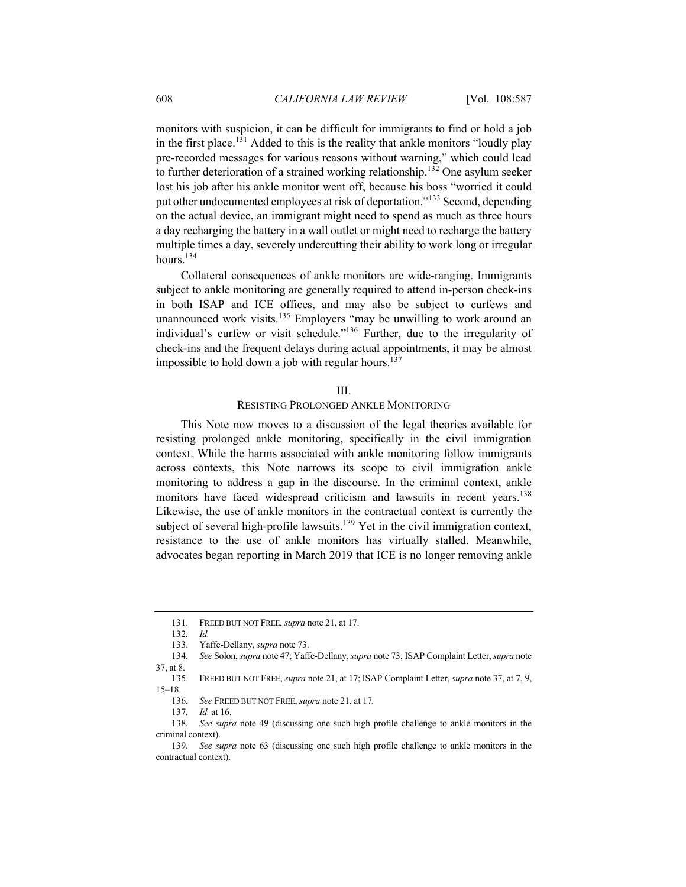monitors with suspicion, it can be difficult for immigrants to find or hold a job in the first place.<sup>131</sup> Added to this is the reality that ankle monitors "loudly play pre-recorded messages for various reasons without warning," which could lead to further deterioration of a strained working relationship.<sup>132</sup> One asylum seeker lost his job after his ankle monitor went off, because his boss "worried it could put other undocumented employees at risk of deportation."<sup>133</sup> Second, depending on the actual device, an immigrant might need to spend as much as three hours a day recharging the battery in a wall outlet or might need to recharge the battery multiple times a day, severely undercutting their ability to work long or irregular hours.<sup>134</sup>

Collateral consequences of ankle monitors are wide-ranging. Immigrants subject to ankle monitoring are generally required to attend in-person check-ins in both ISAP and ICE offices, and may also be subject to curfews and unannounced work visits.<sup>135</sup> Employers "may be unwilling to work around an individual's curfew or visit schedule."136 Further, due to the irregularity of check-ins and the frequent delays during actual appointments, it may be almost impossible to hold down a job with regular hours.<sup>137</sup>

#### III.

#### RESISTING PROLONGED ANKLE MONITORING

This Note now moves to a discussion of the legal theories available for resisting prolonged ankle monitoring, specifically in the civil immigration context. While the harms associated with ankle monitoring follow immigrants across contexts, this Note narrows its scope to civil immigration ankle monitoring to address a gap in the discourse. In the criminal context, ankle monitors have faced widespread criticism and lawsuits in recent years.<sup>138</sup> Likewise, the use of ankle monitors in the contractual context is currently the subject of several high-profile lawsuits.<sup>139</sup> Yet in the civil immigration context, resistance to the use of ankle monitors has virtually stalled. Meanwhile, advocates began reporting in March 2019 that ICE is no longer removing ankle

<sup>131.</sup> FREED BUT NOT FREE, *supra* note 21, at 17.

<sup>132</sup>*. Id.*

<sup>133.</sup> Yaffe-Dellany, *supra* note 73.

<sup>134</sup>*. See* Solon, *supra* note 47; Yaffe-Dellany, *supra* note 73; ISAP Complaint Letter, *supra* note 37, at 8.

<sup>135.</sup> FREED BUT NOT FREE, *supra* note 21, at 17; ISAP Complaint Letter, *supra* note 37, at 7, 9, 15–18.

<sup>136</sup>*. See* FREED BUT NOT FREE, *supra* note 21, at 17*.*

<sup>137</sup>*. Id.* at 16.

<sup>138</sup>*. See supra* note 49 (discussing one such high profile challenge to ankle monitors in the criminal context).

<sup>139</sup>*. See supra* note 63 (discussing one such high profile challenge to ankle monitors in the contractual context).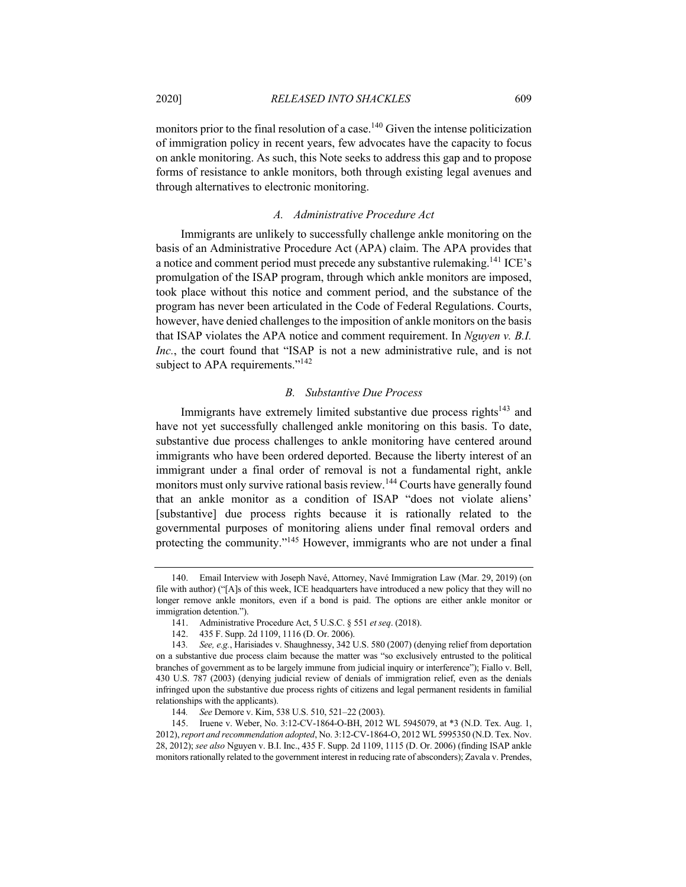monitors prior to the final resolution of a case.<sup>140</sup> Given the intense politicization of immigration policy in recent years, few advocates have the capacity to focus on ankle monitoring. As such, this Note seeks to address this gap and to propose forms of resistance to ankle monitors, both through existing legal avenues and through alternatives to electronic monitoring.

# *A. Administrative Procedure Act*

Immigrants are unlikely to successfully challenge ankle monitoring on the basis of an Administrative Procedure Act (APA) claim. The APA provides that a notice and comment period must precede any substantive rulemaking.<sup>141</sup> ICE's promulgation of the ISAP program, through which ankle monitors are imposed, took place without this notice and comment period, and the substance of the program has never been articulated in the Code of Federal Regulations. Courts, however, have denied challenges to the imposition of ankle monitors on the basis that ISAP violates the APA notice and comment requirement. In *Nguyen v. B.I. Inc.*, the court found that "ISAP is not a new administrative rule, and is not subject to APA requirements."<sup>142</sup>

#### *B. Substantive Due Process*

Immigrants have extremely limited substantive due process rights<sup>143</sup> and have not yet successfully challenged ankle monitoring on this basis. To date, substantive due process challenges to ankle monitoring have centered around immigrants who have been ordered deported. Because the liberty interest of an immigrant under a final order of removal is not a fundamental right, ankle monitors must only survive rational basis review.<sup>144</sup> Courts have generally found that an ankle monitor as a condition of ISAP "does not violate aliens' [substantive] due process rights because it is rationally related to the governmental purposes of monitoring aliens under final removal orders and protecting the community."145 However, immigrants who are not under a final

<sup>140.</sup> Email Interview with Joseph Navé, Attorney, Navé Immigration Law (Mar. 29, 2019) (on file with author) ("[A]s of this week, ICE headquarters have introduced a new policy that they will no longer remove ankle monitors, even if a bond is paid. The options are either ankle monitor or immigration detention.").

<sup>141.</sup> Administrative Procedure Act, 5 U.S.C. § 551 *et seq*. (2018).

<sup>142.</sup> 435 F. Supp. 2d 1109, 1116 (D. Or. 2006).

<sup>143</sup>*. See, e.g.*, Harisiades v. Shaughnessy, 342 U.S. 580 (2007) (denying relief from deportation on a substantive due process claim because the matter was "so exclusively entrusted to the political branches of government as to be largely immune from judicial inquiry or interference"); Fiallo v. Bell, 430 U.S. 787 (2003) (denying judicial review of denials of immigration relief, even as the denials infringed upon the substantive due process rights of citizens and legal permanent residents in familial relationships with the applicants).

<sup>144</sup>*. See* Demore v. Kim, 538 U.S. 510, 521–22 (2003).

<sup>145.</sup> Iruene v. Weber, No. 3:12-CV-1864-O-BH, 2012 WL 5945079, at \*3 (N.D. Tex. Aug. 1, 2012), *report and recommendation adopted*, No. 3:12-CV-1864-O, 2012 WL 5995350 (N.D. Tex. Nov. 28, 2012); *see also* Nguyen v. B.I. Inc., 435 F. Supp. 2d 1109, 1115 (D. Or. 2006) (finding ISAP ankle monitors rationally related to the government interest in reducing rate of absconders); Zavala v. Prendes,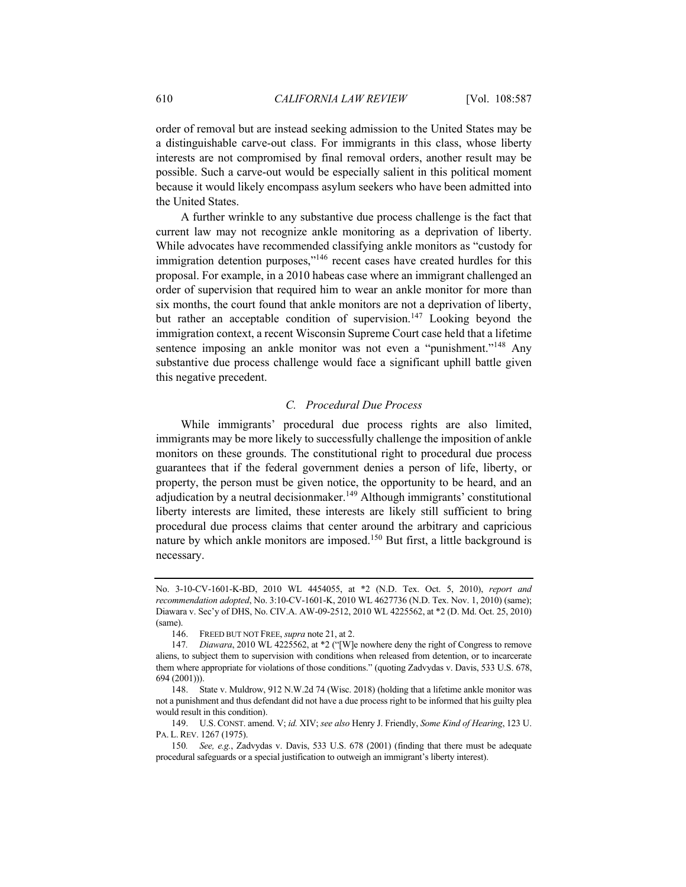order of removal but are instead seeking admission to the United States may be a distinguishable carve-out class. For immigrants in this class, whose liberty interests are not compromised by final removal orders, another result may be possible. Such a carve-out would be especially salient in this political moment because it would likely encompass asylum seekers who have been admitted into the United States.

A further wrinkle to any substantive due process challenge is the fact that current law may not recognize ankle monitoring as a deprivation of liberty. While advocates have recommended classifying ankle monitors as "custody for immigration detention purposes,"<sup>146</sup> recent cases have created hurdles for this proposal. For example, in a 2010 habeas case where an immigrant challenged an order of supervision that required him to wear an ankle monitor for more than six months, the court found that ankle monitors are not a deprivation of liberty, but rather an acceptable condition of supervision.<sup>147</sup> Looking beyond the immigration context, a recent Wisconsin Supreme Court case held that a lifetime sentence imposing an ankle monitor was not even a "punishment."<sup>148</sup> Any substantive due process challenge would face a significant uphill battle given this negative precedent.

## *C. Procedural Due Process*

While immigrants' procedural due process rights are also limited, immigrants may be more likely to successfully challenge the imposition of ankle monitors on these grounds. The constitutional right to procedural due process guarantees that if the federal government denies a person of life, liberty, or property, the person must be given notice, the opportunity to be heard, and an adjudication by a neutral decisionmaker.<sup>149</sup> Although immigrants' constitutional liberty interests are limited, these interests are likely still sufficient to bring procedural due process claims that center around the arbitrary and capricious nature by which ankle monitors are imposed.<sup>150</sup> But first, a little background is necessary.

No. 3-10-CV-1601-K-BD, 2010 WL 4454055, at \*2 (N.D. Tex. Oct. 5, 2010), *report and recommendation adopted*, No. 3:10-CV-1601-K, 2010 WL 4627736 (N.D. Tex. Nov. 1, 2010) (same); Diawara v. Sec'y of DHS, No. CIV.A. AW-09-2512, 2010 WL 4225562, at \*2 (D. Md. Oct. 25, 2010) (same).

<sup>146.</sup> FREED BUT NOT FREE, *supra* note 21, at 2.

<sup>147</sup>*. Diawara*, 2010 WL 4225562, at \*2 ("[W]e nowhere deny the right of Congress to remove aliens, to subject them to supervision with conditions when released from detention, or to incarcerate them where appropriate for violations of those conditions." (quoting Zadvydas v. Davis, 533 U.S. 678, 694 (2001))).

<sup>148.</sup> State v. Muldrow, 912 N.W.2d 74 (Wisc. 2018) (holding that a lifetime ankle monitor was not a punishment and thus defendant did not have a due process right to be informed that his guilty plea would result in this condition).

<sup>149.</sup> U.S. CONST. amend. V; *id.* XIV; *see also* Henry J. Friendly, *Some Kind of Hearing*, 123 U. PA. L. REV. 1267 (1975).

<sup>150</sup>*. See, e.g.*, Zadvydas v. Davis, 533 U.S. 678 (2001) (finding that there must be adequate procedural safeguards or a special justification to outweigh an immigrant's liberty interest).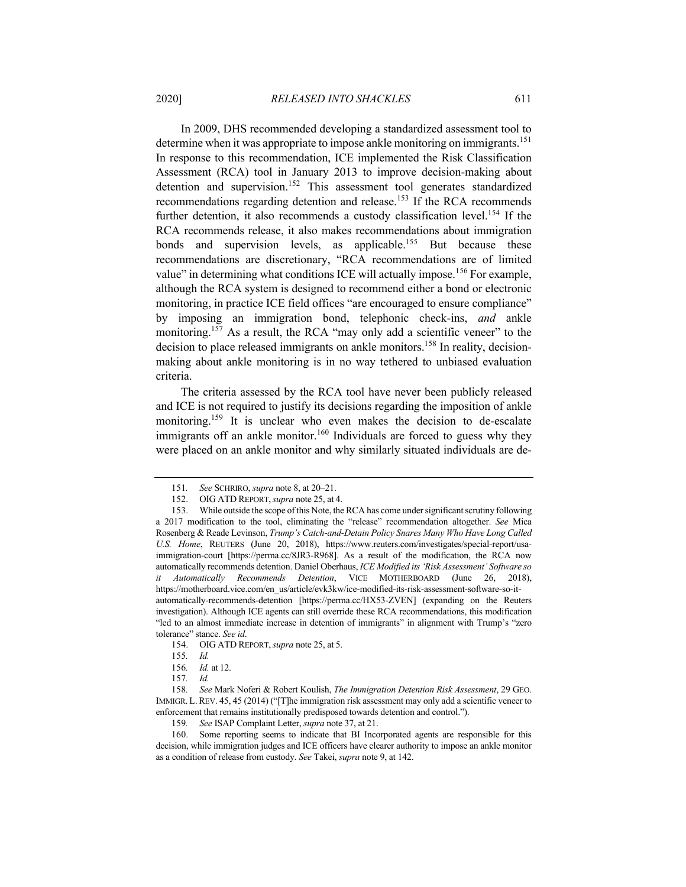In 2009, DHS recommended developing a standardized assessment tool to determine when it was appropriate to impose ankle monitoring on immigrants.<sup>151</sup> In response to this recommendation, ICE implemented the Risk Classification Assessment (RCA) tool in January 2013 to improve decision-making about detention and supervision.<sup>152</sup> This assessment tool generates standardized recommendations regarding detention and release.<sup>153</sup> If the RCA recommends further detention, it also recommends a custody classification level.<sup>154</sup> If the RCA recommends release, it also makes recommendations about immigration bonds and supervision levels, as applicable.<sup>155</sup> But because these recommendations are discretionary, "RCA recommendations are of limited value" in determining what conditions ICE will actually impose.<sup>156</sup> For example, although the RCA system is designed to recommend either a bond or electronic monitoring, in practice ICE field offices "are encouraged to ensure compliance" by imposing an immigration bond, telephonic check-ins, *and* ankle monitoring.<sup>157</sup> As a result, the RCA "may only add a scientific veneer" to the decision to place released immigrants on ankle monitors.<sup>158</sup> In reality, decisionmaking about ankle monitoring is in no way tethered to unbiased evaluation criteria.

The criteria assessed by the RCA tool have never been publicly released and ICE is not required to justify its decisions regarding the imposition of ankle monitoring.<sup>159</sup> It is unclear who even makes the decision to de-escalate immigrants off an ankle monitor.<sup>160</sup> Individuals are forced to guess why they were placed on an ankle monitor and why similarly situated individuals are de-

154. OIG ATD REPORT,*supra* note 25, at 5.

<sup>151</sup>*. See* SCHRIRO, *supra* note 8, at 20–21.

<sup>152.</sup> OIG ATD REPORT,*supra* note 25, at 4.

<sup>153.</sup> While outside the scope of this Note, the RCA has come under significant scrutiny following a 2017 modification to the tool, eliminating the "release" recommendation altogether. *See* Mica Rosenberg & Reade Levinson, *Trump's Catch-and-Detain Policy Snares Many Who Have Long Called U.S. Home*, REUTERS (June 20, 2018), https://www.reuters.com/investigates/special-report/usaimmigration-court [https://perma.cc/8JR3-R968]. As a result of the modification, the RCA now automatically recommends detention. Daniel Oberhaus, *ICE Modified its 'Risk Assessment' Software so it Automatically Recommends Detention*, VICE MOTHERBOARD (June 26, 2018), https://motherboard.vice.com/en\_us/article/evk3kw/ice-modified-its-risk-assessment-software-so-itautomatically-recommends-detention [https://perma.cc/HX53-ZVEN] (expanding on the Reuters investigation). Although ICE agents can still override these RCA recommendations, this modification "led to an almost immediate increase in detention of immigrants" in alignment with Trump's "zero tolerance" stance. *See id*.

<sup>155</sup>*. Id.*

<sup>156</sup>*. Id.* at 12.

<sup>157</sup>*. Id.*

<sup>158</sup>*. See* Mark Noferi & Robert Koulish, *The Immigration Detention Risk Assessment*, 29 GEO. IMMIGR. L.REV. 45, 45 (2014) ("[T]he immigration risk assessment may only add a scientific veneer to enforcement that remains institutionally predisposed towards detention and control.").

<sup>159</sup>*. See* ISAP Complaint Letter, *supra* note 37, at 21.

<sup>160.</sup> Some reporting seems to indicate that BI Incorporated agents are responsible for this decision, while immigration judges and ICE officers have clearer authority to impose an ankle monitor as a condition of release from custody. *See* Takei, *supra* note 9, at 142.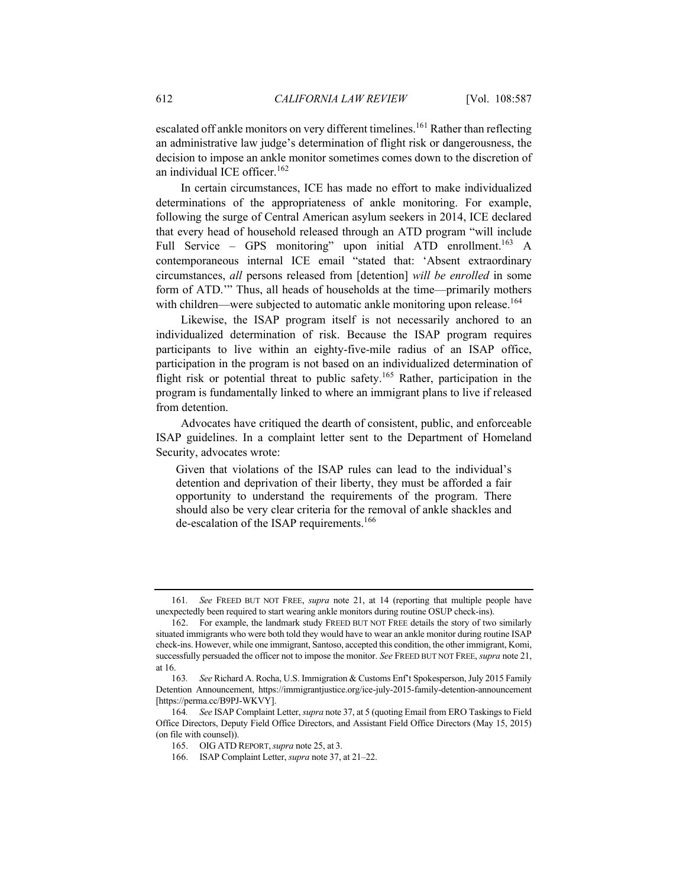escalated off ankle monitors on very different timelines.<sup>161</sup> Rather than reflecting an administrative law judge's determination of flight risk or dangerousness, the decision to impose an ankle monitor sometimes comes down to the discretion of an individual ICE officer.<sup>162</sup>

In certain circumstances, ICE has made no effort to make individualized determinations of the appropriateness of ankle monitoring. For example, following the surge of Central American asylum seekers in 2014, ICE declared that every head of household released through an ATD program "will include Full Service – GPS monitoring" upon initial ATD enrollment.<sup>163</sup> A contemporaneous internal ICE email "stated that: 'Absent extraordinary circumstances, *all* persons released from [detention] *will be enrolled* in some form of ATD.'" Thus, all heads of households at the time—primarily mothers with children—were subjected to automatic ankle monitoring upon release.<sup>164</sup>

Likewise, the ISAP program itself is not necessarily anchored to an individualized determination of risk. Because the ISAP program requires participants to live within an eighty-five-mile radius of an ISAP office, participation in the program is not based on an individualized determination of flight risk or potential threat to public safety.<sup>165</sup> Rather, participation in the program is fundamentally linked to where an immigrant plans to live if released from detention.

Advocates have critiqued the dearth of consistent, public, and enforceable ISAP guidelines. In a complaint letter sent to the Department of Homeland Security, advocates wrote:

Given that violations of the ISAP rules can lead to the individual's detention and deprivation of their liberty, they must be afforded a fair opportunity to understand the requirements of the program. There should also be very clear criteria for the removal of ankle shackles and de-escalation of the ISAP requirements.<sup>166</sup>

<sup>161</sup>*. See* FREED BUT NOT FREE, *supra* note 21, at 14 (reporting that multiple people have unexpectedly been required to start wearing ankle monitors during routine OSUP check-ins).

<sup>162.</sup> For example, the landmark study FREED BUT NOT FREE details the story of two similarly situated immigrants who were both told they would have to wear an ankle monitor during routine ISAP check-ins. However, while one immigrant, Santoso, accepted this condition, the other immigrant, Komi, successfully persuaded the officer not to impose the monitor. *See* FREED BUT NOT FREE, *supra* note 21, at 16.

<sup>163</sup>*. See* Richard A. Rocha, U.S. Immigration & Customs Enf't Spokesperson, July 2015 Family Detention Announcement, https://immigrantjustice.org/ice-july-2015-family-detention-announcement [https://perma.cc/B9PJ-WKVY].

<sup>164</sup>*. See* ISAP Complaint Letter, *supra* note 37, at 5 (quoting Email from ERO Taskings to Field Office Directors, Deputy Field Office Directors, and Assistant Field Office Directors (May 15, 2015) (on file with counsel)).

<sup>165.</sup> OIG ATD REPORT,*supra* note 25, at 3.

<sup>166.</sup> ISAP Complaint Letter, *supra* note 37, at 21–22.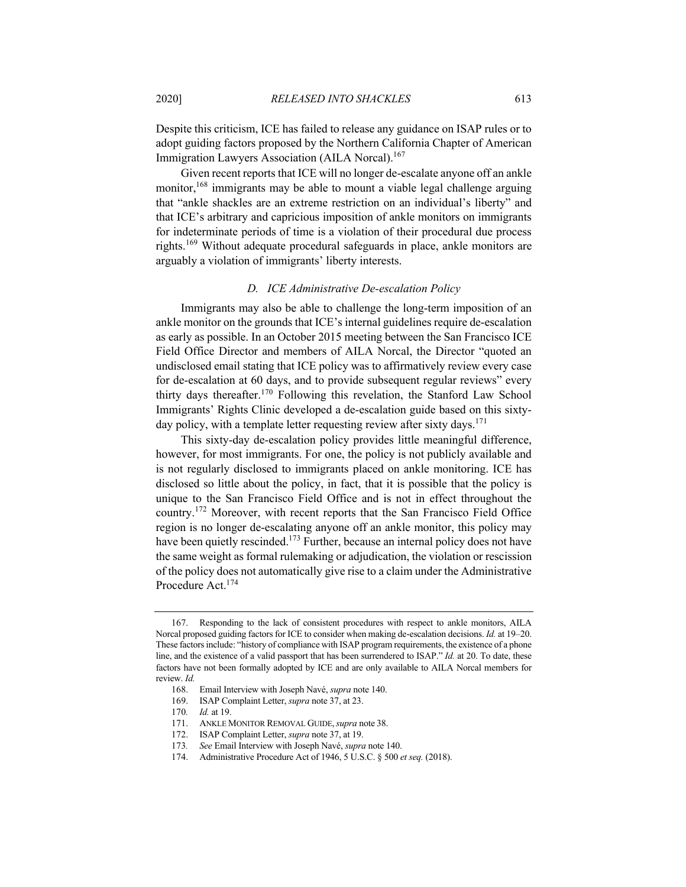Despite this criticism, ICE has failed to release any guidance on ISAP rules or to adopt guiding factors proposed by the Northern California Chapter of American Immigration Lawyers Association (AILA Norcal).<sup>167</sup>

Given recent reports that ICE will no longer de-escalate anyone off an ankle monitor,  $168$  immigrants may be able to mount a viable legal challenge arguing that "ankle shackles are an extreme restriction on an individual's liberty" and that ICE's arbitrary and capricious imposition of ankle monitors on immigrants for indeterminate periods of time is a violation of their procedural due process rights.<sup>169</sup> Without adequate procedural safeguards in place, ankle monitors are arguably a violation of immigrants' liberty interests.

## *D. ICE Administrative De-escalation Policy*

Immigrants may also be able to challenge the long-term imposition of an ankle monitor on the grounds that ICE's internal guidelines require de-escalation as early as possible. In an October 2015 meeting between the San Francisco ICE Field Office Director and members of AILA Norcal, the Director "quoted an undisclosed email stating that ICE policy was to affirmatively review every case for de-escalation at 60 days, and to provide subsequent regular reviews" every thirty days thereafter.<sup>170</sup> Following this revelation, the Stanford Law School Immigrants' Rights Clinic developed a de-escalation guide based on this sixtyday policy, with a template letter requesting review after sixty days.<sup>171</sup>

This sixty-day de-escalation policy provides little meaningful difference, however, for most immigrants. For one, the policy is not publicly available and is not regularly disclosed to immigrants placed on ankle monitoring. ICE has disclosed so little about the policy, in fact, that it is possible that the policy is unique to the San Francisco Field Office and is not in effect throughout the country.<sup>172</sup> Moreover, with recent reports that the San Francisco Field Office region is no longer de-escalating anyone off an ankle monitor, this policy may have been quietly rescinded.<sup>173</sup> Further, because an internal policy does not have the same weight as formal rulemaking or adjudication, the violation or rescission of the policy does not automatically give rise to a claim under the Administrative Procedure Act.174

<sup>167.</sup> Responding to the lack of consistent procedures with respect to ankle monitors, AILA Norcal proposed guiding factors for ICE to consider when making de-escalation decisions. *Id.* at 19–20. These factors include: "history of compliance with ISAP program requirements, the existence of a phone line, and the existence of a valid passport that has been surrendered to ISAP." *Id.* at 20. To date, these factors have not been formally adopted by ICE and are only available to AILA Norcal members for review. *Id.*

<sup>168.</sup> Email Interview with Joseph Navé, *supra* note 140.

<sup>169.</sup> ISAP Complaint Letter, *supra* note 37, at 23.

<sup>170</sup>*. Id.* at 19.

<sup>171.</sup> ANKLE MONITOR REMOVAL GUIDE,*supra* note 38.

<sup>172.</sup> ISAP Complaint Letter, *supra* note 37, at 19.

<sup>173</sup>*. See* Email Interview with Joseph Navé, *supra* note 140.

<sup>174.</sup> Administrative Procedure Act of 1946, 5 U.S.C. § 500 *et seq.* (2018).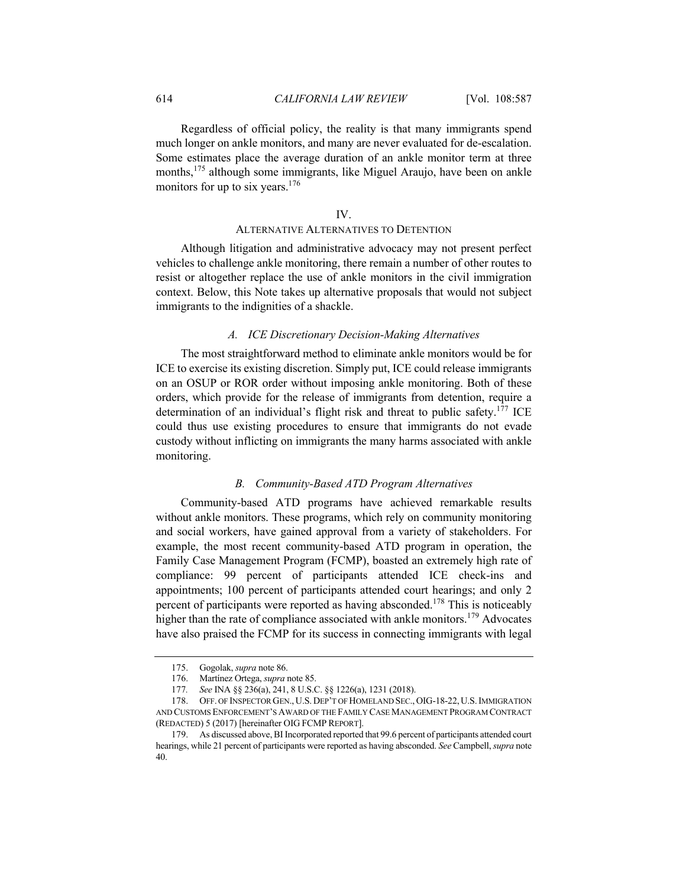Regardless of official policy, the reality is that many immigrants spend much longer on ankle monitors, and many are never evaluated for de-escalation. Some estimates place the average duration of an ankle monitor term at three months,<sup>175</sup> although some immigrants, like Miguel Araujo, have been on ankle monitors for up to six years.<sup>176</sup>

# IV.

#### ALTERNATIVE ALTERNATIVES TO DETENTION

Although litigation and administrative advocacy may not present perfect vehicles to challenge ankle monitoring, there remain a number of other routes to resist or altogether replace the use of ankle monitors in the civil immigration context. Below, this Note takes up alternative proposals that would not subject immigrants to the indignities of a shackle.

## *A. ICE Discretionary Decision-Making Alternatives*

The most straightforward method to eliminate ankle monitors would be for ICE to exercise its existing discretion. Simply put, ICE could release immigrants on an OSUP or ROR order without imposing ankle monitoring. Both of these orders, which provide for the release of immigrants from detention, require a determination of an individual's flight risk and threat to public safety.<sup>177</sup> ICE could thus use existing procedures to ensure that immigrants do not evade custody without inflicting on immigrants the many harms associated with ankle monitoring.

#### *B. Community-Based ATD Program Alternatives*

Community-based ATD programs have achieved remarkable results without ankle monitors. These programs, which rely on community monitoring and social workers, have gained approval from a variety of stakeholders. For example, the most recent community-based ATD program in operation, the Family Case Management Program (FCMP), boasted an extremely high rate of compliance: 99 percent of participants attended ICE check-ins and appointments; 100 percent of participants attended court hearings; and only 2 percent of participants were reported as having absconded.<sup>178</sup> This is noticeably higher than the rate of compliance associated with ankle monitors.<sup>179</sup> Advocates have also praised the FCMP for its success in connecting immigrants with legal

<sup>175.</sup> Gogolak, *supra* note 86.

<sup>176.</sup> Martínez Ortega, *supra* note 85.

<sup>177</sup>*. See* INA §§ 236(a), 241, 8 U.S.C. §§ 1226(a), 1231 (2018).

<sup>178.</sup> OFF. OF INSPECTOR GEN., U.S. DEP'T OF HOMELAND SEC., OIG-18-22, U.S.IMMIGRATION AND CUSTOMS ENFORCEMENT'S AWARD OF THE FAMILY CASE MANAGEMENT PROGRAM CONTRACT (REDACTED) 5 (2017) [hereinafter OIG FCMP REPORT].

<sup>179.</sup> As discussed above, BI Incorporated reported that 99.6 percent of participants attended court hearings, while 21 percent of participants were reported as having absconded. *See* Campbell, *supra* note 40.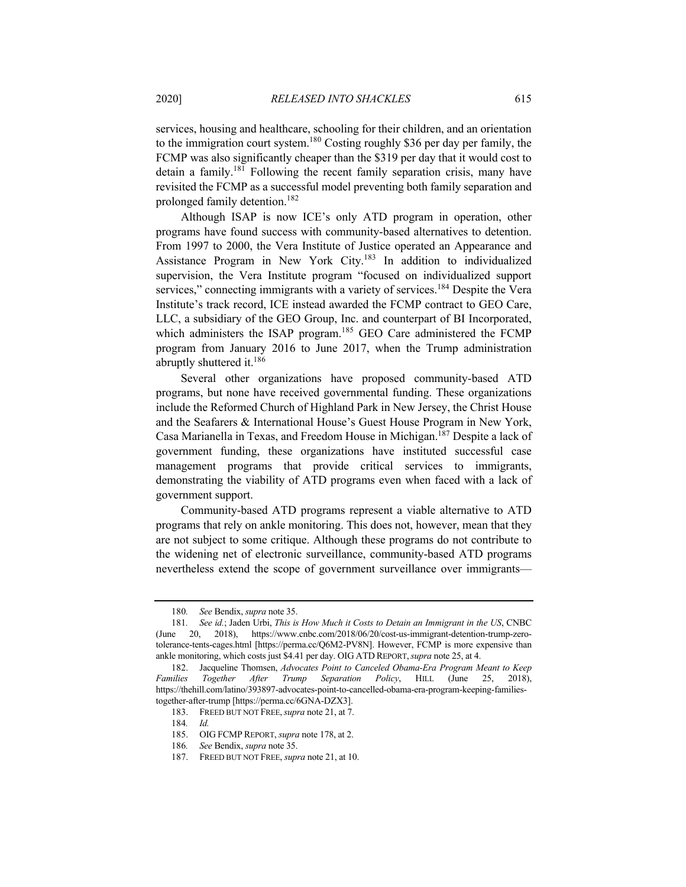services, housing and healthcare, schooling for their children, and an orientation to the immigration court system.180 Costing roughly \$36 per day per family, the FCMP was also significantly cheaper than the \$319 per day that it would cost to detain a family.181 Following the recent family separation crisis, many have revisited the FCMP as a successful model preventing both family separation and prolonged family detention.182

Although ISAP is now ICE's only ATD program in operation, other programs have found success with community-based alternatives to detention. From 1997 to 2000, the Vera Institute of Justice operated an Appearance and Assistance Program in New York City.<sup>183</sup> In addition to individualized supervision, the Vera Institute program "focused on individualized support services," connecting immigrants with a variety of services.<sup>184</sup> Despite the Vera Institute's track record, ICE instead awarded the FCMP contract to GEO Care, LLC, a subsidiary of the GEO Group, Inc. and counterpart of BI Incorporated, which administers the ISAP program.<sup>185</sup> GEO Care administered the FCMP program from January 2016 to June 2017, when the Trump administration abruptly shuttered it.186

Several other organizations have proposed community-based ATD programs, but none have received governmental funding. These organizations include the Reformed Church of Highland Park in New Jersey, the Christ House and the Seafarers & International House's Guest House Program in New York, Casa Marianella in Texas, and Freedom House in Michigan.187 Despite a lack of government funding, these organizations have instituted successful case management programs that provide critical services to immigrants, demonstrating the viability of ATD programs even when faced with a lack of government support.

Community-based ATD programs represent a viable alternative to ATD programs that rely on ankle monitoring. This does not, however, mean that they are not subject to some critique. Although these programs do not contribute to the widening net of electronic surveillance, community-based ATD programs nevertheless extend the scope of government surveillance over immigrants—

<sup>180</sup>*. See* Bendix, *supra* note 35.

<sup>181</sup>*. See id.*; Jaden Urbi, *This is How Much it Costs to Detain an Immigrant in the US*, CNBC (June 20, 2018), https://www.cnbc.com/2018/06/20/cost-us-immigrant-detention-trump-zerotolerance-tents-cages.html [https://perma.cc/Q6M2-PV8N]. However, FCMP is more expensive than ankle monitoring, which costs just \$4.41 per day. OIG ATD REPORT,*supra* note 25, at 4.

<sup>182.</sup> Jacqueline Thomsen, *Advocates Point to Canceled Obama-Era Program Meant to Keep Families Together After Trump Separation Policy*, HILL (June 25, 2018), https://thehill.com/latino/393897-advocates-point-to-cancelled-obama-era-program-keeping-familiestogether-after-trump [https://perma.cc/6GNA-DZX3].

<sup>183.</sup> FREED BUT NOT FREE,*supra* note 21, at 7.

<sup>184</sup>*. Id.*

<sup>185.</sup> OIG FCMP REPORT, *supra* note 178, at 2.

<sup>186</sup>*. See* Bendix, *supra* note 35.

<sup>187.</sup> FREED BUT NOT FREE, *supra* note 21, at 10.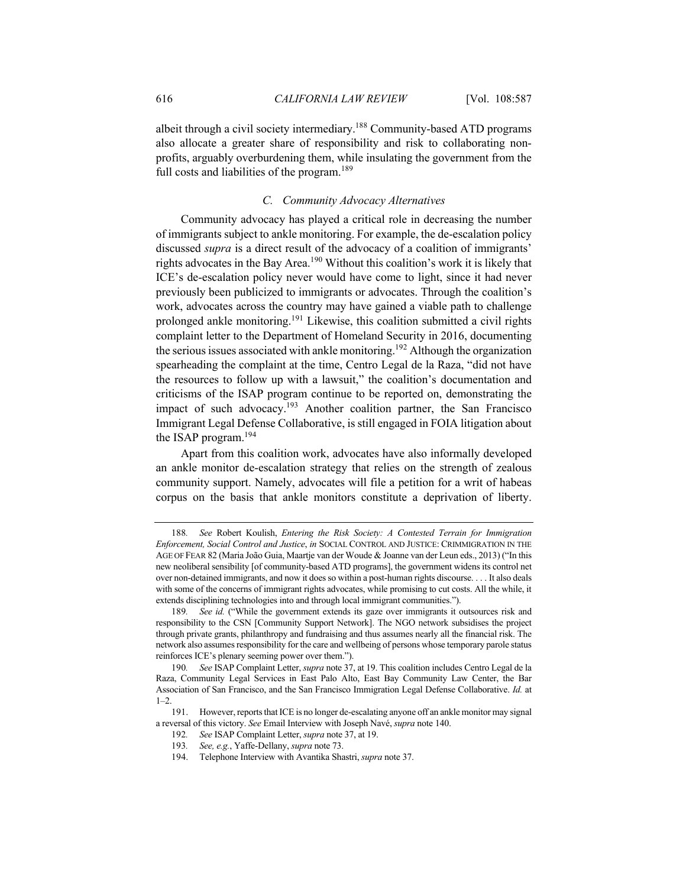albeit through a civil society intermediary.188 Community-based ATD programs also allocate a greater share of responsibility and risk to collaborating nonprofits, arguably overburdening them, while insulating the government from the full costs and liabilities of the program.<sup>189</sup>

# *C. Community Advocacy Alternatives*

Community advocacy has played a critical role in decreasing the number of immigrants subject to ankle monitoring. For example, the de-escalation policy discussed *supra* is a direct result of the advocacy of a coalition of immigrants' rights advocates in the Bay Area.<sup>190</sup> Without this coalition's work it is likely that ICE's de-escalation policy never would have come to light, since it had never previously been publicized to immigrants or advocates. Through the coalition's work, advocates across the country may have gained a viable path to challenge prolonged ankle monitoring.<sup>191</sup> Likewise, this coalition submitted a civil rights complaint letter to the Department of Homeland Security in 2016, documenting the serious issues associated with ankle monitoring.<sup>192</sup> Although the organization spearheading the complaint at the time, Centro Legal de la Raza, "did not have the resources to follow up with a lawsuit," the coalition's documentation and criticisms of the ISAP program continue to be reported on, demonstrating the impact of such advocacy.<sup>193</sup> Another coalition partner, the San Francisco Immigrant Legal Defense Collaborative, is still engaged in FOIA litigation about the ISAP program.194

Apart from this coalition work, advocates have also informally developed an ankle monitor de-escalation strategy that relies on the strength of zealous community support. Namely, advocates will file a petition for a writ of habeas corpus on the basis that ankle monitors constitute a deprivation of liberty.

<sup>188</sup>*. See* Robert Koulish, *Entering the Risk Society: A Contested Terrain for Immigration Enforcement, Social Control and Justice*, *in* SOCIAL CONTROL AND JUSTICE: CRIMMIGRATION IN THE AGE OF FEAR 82 (Maria João Guia, Maartje van der Woude & Joanne van der Leun eds., 2013) ("In this new neoliberal sensibility [of community-based ATD programs], the government widens its control net over non-detained immigrants, and now it does so within a post-human rights discourse. . . . It also deals with some of the concerns of immigrant rights advocates, while promising to cut costs. All the while, it extends disciplining technologies into and through local immigrant communities.").

<sup>189</sup>*. See id.* ("While the government extends its gaze over immigrants it outsources risk and responsibility to the CSN [Community Support Network]. The NGO network subsidises the project through private grants, philanthropy and fundraising and thus assumes nearly all the financial risk. The network also assumes responsibility for the care and wellbeing of persons whose temporary parole status reinforces ICE's plenary seeming power over them.").

<sup>190</sup>*. See* ISAP Complaint Letter, *supra* note 37, at 19. This coalition includes Centro Legal de la Raza, Community Legal Services in East Palo Alto, East Bay Community Law Center, the Bar Association of San Francisco, and the San Francisco Immigration Legal Defense Collaborative. *Id.* at  $1 - 2$ 

<sup>191.</sup> However, reports that ICE is no longer de-escalating anyone off an ankle monitor may signal a reversal of this victory. *See* Email Interview with Joseph Navé, *supra* note 140.

<sup>192</sup>*. See* ISAP Complaint Letter, *supra* note 37, at 19.

<sup>193</sup>*. See, e.g.*, Yaffe-Dellany, *supra* note 73.

<sup>194.</sup> Telephone Interview with Avantika Shastri, *supra* note 37.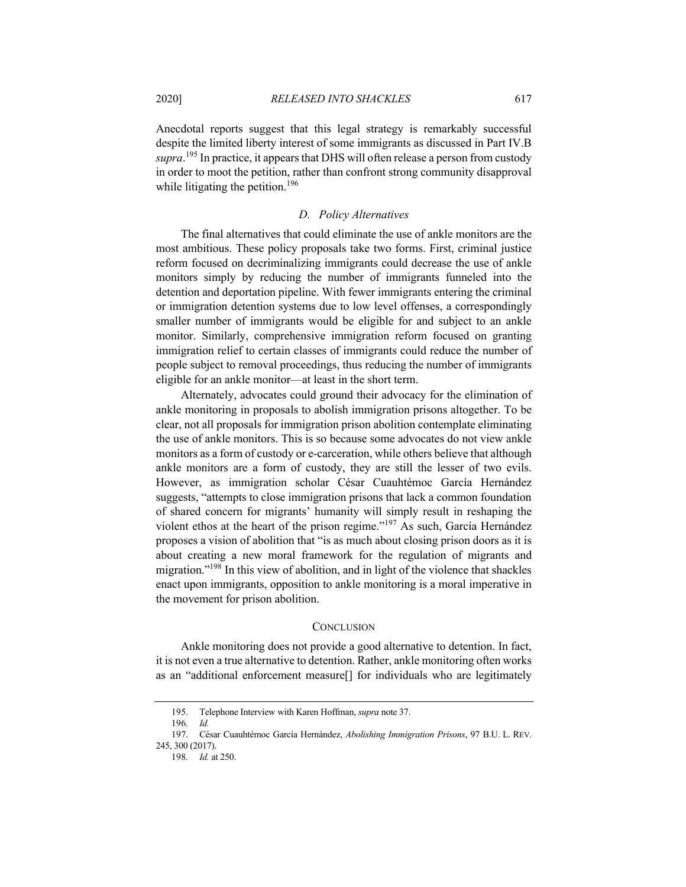Anecdotal reports suggest that this legal strategy is remarkably successful despite the limited liberty interest of some immigrants as discussed in Part IV.B *supra*. <sup>195</sup> In practice, it appears that DHS will often release a person from custody in order to moot the petition, rather than confront strong community disapproval while litigating the petition.<sup>196</sup>

# *D. Policy Alternatives*

The final alternatives that could eliminate the use of ankle monitors are the most ambitious. These policy proposals take two forms. First, criminal justice reform focused on decriminalizing immigrants could decrease the use of ankle monitors simply by reducing the number of immigrants funneled into the detention and deportation pipeline. With fewer immigrants entering the criminal or immigration detention systems due to low level offenses, a correspondingly smaller number of immigrants would be eligible for and subject to an ankle monitor. Similarly, comprehensive immigration reform focused on granting immigration relief to certain classes of immigrants could reduce the number of people subject to removal proceedings, thus reducing the number of immigrants eligible for an ankle monitor—at least in the short term.

Alternately, advocates could ground their advocacy for the elimination of ankle monitoring in proposals to abolish immigration prisons altogether. To be clear, not all proposals for immigration prison abolition contemplate eliminating the use of ankle monitors. This is so because some advocates do not view ankle monitors as a form of custody or e-carceration, while others believe that although ankle monitors are a form of custody, they are still the lesser of two evils. However, as immigration scholar César Cuauhtémoc García Hernández suggests, "attempts to close immigration prisons that lack a common foundation of shared concern for migrants' humanity will simply result in reshaping the violent ethos at the heart of the prison regime."<sup>197</sup> As such, García Hernández proposes a vision of abolition that "is as much about closing prison doors as it is about creating a new moral framework for the regulation of migrants and migration."198 In this view of abolition, and in light of the violence that shackles enact upon immigrants, opposition to ankle monitoring is a moral imperative in the movement for prison abolition.

## **CONCLUSION**

Ankle monitoring does not provide a good alternative to detention. In fact, it is not even a true alternative to detention. Rather, ankle monitoring often works as an "additional enforcement measure[] for individuals who are legitimately

<sup>195.</sup> Telephone Interview with Karen Hoffman, *supra* note 37.

<sup>196</sup>*. Id.*

<sup>197.</sup> César Cuauhtémoc García Hernández, *Abolishing Immigration Prisons*, 97 B.U. L. REV. 245, 300 (2017).

<sup>198</sup>*. Id.* at 250.